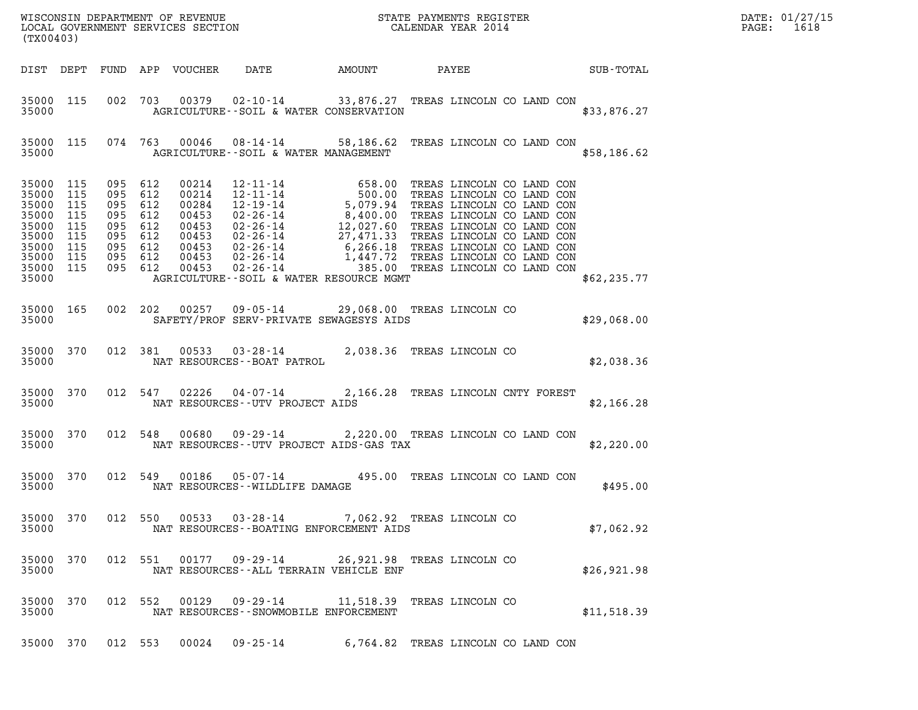| (TX00403)                                                                                                          |                    |                    |                                                     |                                                                                               |                                  |                                                                                                           |  |  | R            |  |
|--------------------------------------------------------------------------------------------------------------------|--------------------|--------------------|-----------------------------------------------------|-----------------------------------------------------------------------------------------------|----------------------------------|-----------------------------------------------------------------------------------------------------------|--|--|--------------|--|
|                                                                                                                    | DIST DEPT          |                    |                                                     |                                                                                               |                                  |                                                                                                           |  |  |              |  |
| 35000                                                                                                              | 35000 115          |                    |                                                     |                                                                                               |                                  | 002 703 00379 02-10-14 33,876.27 TREAS LINCOLN CO LAND CON<br>AGRICULTURE--SOIL & WATER CONSERVATION      |  |  | \$33,876.27  |  |
|                                                                                                                    | 35000 115          |                    |                                                     |                                                                                               |                                  | 074 763 00046 08-14-14 58,186.62 TREAS LINCOLN CO LAND CON<br>35000 AGRICULTURE - SOIL & WATER MANAGEMENT |  |  | \$58,186.62  |  |
| 35000 115<br>35000<br>35000 115<br>35000<br>35000 115<br>35000 115<br>35000 115<br>35000 115<br>35000 115<br>35000 | 115<br>115         | 095 612<br>095 612 | 095 612<br>095 612<br>095 612<br>095 612<br>095 612 | 00214<br>00214<br>00284<br>00453<br>00453<br>00453<br>00453<br>095 612 00453<br>095 612 00453 |                                  | AGRICULTURE--SOIL & WATER RESOURCE MGMT                                                                   |  |  | \$62, 235.77 |  |
|                                                                                                                    | 35000 165<br>35000 |                    |                                                     |                                                                                               |                                  | 002 202 00257 09-05-14 29,068.00 TREAS LINCOLN CO<br>SAFETY/PROF SERV-PRIVATE SEWAGESYS AIDS              |  |  | \$29,068.00  |  |
| 35000 370                                                                                                          |                    |                    |                                                     |                                                                                               | 35000 NAT RESOURCES--BOAT PATROL | 012 381 00533 03-28-14 2,038.36 TREAS LINCOLN CO                                                          |  |  | \$2,038.36   |  |
|                                                                                                                    | 35000 370<br>35000 |                    |                                                     |                                                                                               | NAT RESOURCES--UTV PROJECT AIDS  | 012 547 02226 04-07-14 2,166.28 TREAS LINCOLN CNTY FOREST                                                 |  |  | \$2,166.28   |  |
| 35000 370<br>35000                                                                                                 |                    |                    |                                                     |                                                                                               |                                  | 012 548 00680 09-29-14 2,220.00 TREAS LINCOLN CO LAND CON<br>NAT RESOURCES--UTV PROJECT AIDS-GAS TAX      |  |  | \$2,220.00   |  |
| 35000 370<br>35000                                                                                                 |                    |                    |                                                     |                                                                                               | NAT RESOURCES--WILDLIFE DAMAGE   | 012 549 00186 05-07-14 495.00 TREAS LINCOLN CO LAND CON                                                   |  |  | \$495.00     |  |
| 35000 370<br>35000                                                                                                 |                    |                    |                                                     | 012 550 00533                                                                                 | $03 - 28 - 14$                   | 7,062.92 TREAS LINCOLN CO<br>NAT RESOURCES--BOATING ENFORCEMENT AIDS                                      |  |  | \$7,062.92   |  |
| 35000 370<br>35000                                                                                                 |                    |                    |                                                     | 012 551 00177                                                                                 | $09 - 29 - 14$                   | 26,921.98 TREAS LINCOLN CO<br>NAT RESOURCES -- ALL TERRAIN VEHICLE ENF                                    |  |  | \$26,921.98  |  |
| 35000 370<br>35000                                                                                                 |                    |                    | 012 552                                             | 00129                                                                                         | $09 - 29 - 14$                   | 11,518.39 TREAS LINCOLN CO<br>NAT RESOURCES - - SNOWMOBILE ENFORCEMENT                                    |  |  | \$11,518.39  |  |
| 35000 370                                                                                                          |                    |                    | 012 553                                             | 00024                                                                                         | 09-25-14                         | 6,764.82 TREAS LINCOLN CO LAND CON                                                                        |  |  |              |  |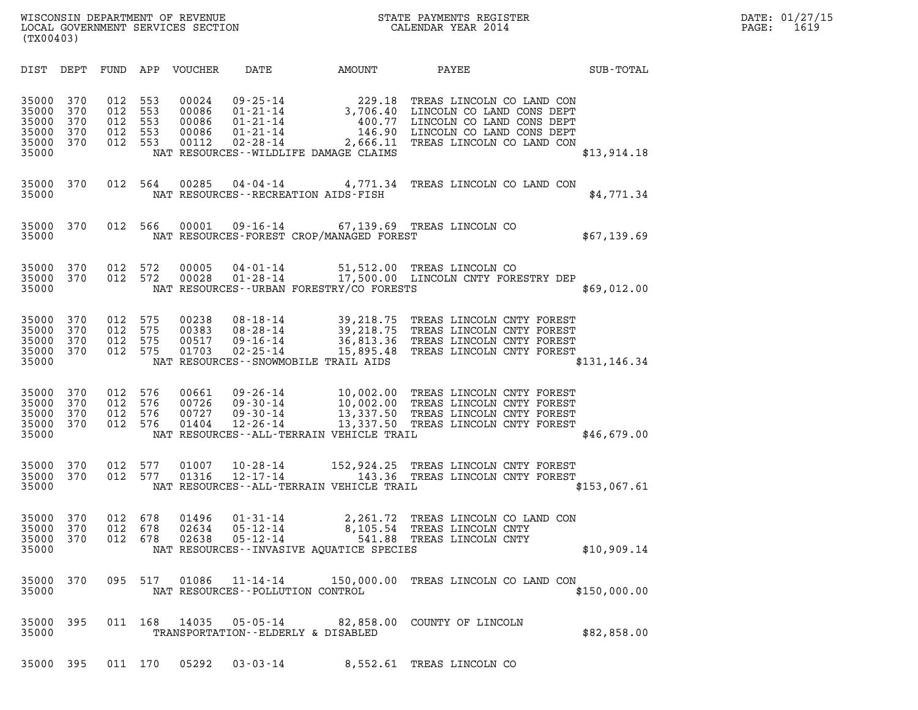| (TX00403)                                          |                                 |                                 |                                 |                                           |                                                                                        |                                                                                                |                                                                                                                                               |               |
|----------------------------------------------------|---------------------------------|---------------------------------|---------------------------------|-------------------------------------------|----------------------------------------------------------------------------------------|------------------------------------------------------------------------------------------------|-----------------------------------------------------------------------------------------------------------------------------------------------|---------------|
| DIST                                               | DEPT                            | FUND                            | APP                             | <b>VOUCHER</b>                            | DATE                                                                                   | AMOUNT                                                                                         | PAYEE                                                                                                                                         | SUB-TOTAL     |
| 35000<br>35000<br>35000<br>35000<br>35000<br>35000 | 370<br>370<br>370<br>370<br>370 | 012<br>012<br>012<br>012<br>012 | 553<br>553<br>553<br>553<br>553 | 00024<br>00086<br>00086<br>00086<br>00112 | $09 - 25 - 14$<br>$01 - 21 - 14$<br>$01 - 21 - 14$<br>$01 - 21 - 14$<br>$02 - 28 - 14$ | 229.18<br>3,706.40<br>400.77<br>146.90<br>2,666.11<br>NAT RESOURCES - - WILDLIFE DAMAGE CLAIMS | TREAS LINCOLN CO LAND CON<br>LINCOLN CO LAND CONS DEPT<br>LINCOLN CO LAND CONS DEPT<br>LINCOLN CO LAND CONS DEPT<br>TREAS LINCOLN CO LAND CON | \$13,914.18   |
| 35000<br>35000                                     | 370                             | 012                             | 564                             | 00285                                     | 04 - 04 - 14                                                                           | 4,771.34<br>NAT RESOURCES - - RECREATION AIDS - FISH                                           | TREAS LINCOLN CO LAND CON                                                                                                                     | \$4,771.34    |
| 35000<br>35000                                     | 370                             | 012                             | 566                             | 00001                                     |                                                                                        | NAT RESOURCES-FOREST CROP/MANAGED FOREST                                                       | 09-16-14 67,139.69 TREAS LINCOLN CO                                                                                                           | \$67,139.69   |
| 35000<br>35000<br>35000                            | 370<br>370                      | 012<br>012                      | 572<br>572                      | 00005<br>00028                            | 04-01-14<br>$01 - 28 - 14$                                                             | 51,512.00<br>NAT RESOURCES - - URBAN FORESTRY/CO FORESTS                                       | TREAS LINCOLN CO<br>17,500.00 LINCOLN CNTY FORESTRY DEP                                                                                       | \$69,012.00   |
| 35000<br>35000<br>35000<br>35000<br>35000          | 370<br>370<br>370<br>370        | 012<br>012<br>012<br>012        | 575<br>575<br>575<br>575        | 00238<br>00383<br>00517<br>01703          | $08 - 18 - 14$<br>$08 - 28 - 14$<br>$09 - 16 - 14$<br>$02 - 25 - 14$                   | 39,218.75<br>39,218.75<br>36,813.36<br>15,895.48<br>NAT RESOURCES - - SNOWMOBILE TRAIL AIDS    | TREAS LINCOLN CNTY FOREST<br>TREAS LINCOLN CNTY FOREST<br>TREAS LINCOLN CNTY FOREST<br>TREAS LINCOLN CNTY FOREST                              | \$131, 146.34 |
| 35000<br>35000<br>35000<br>35000<br>35000          | 370<br>370<br>370<br>370        | 012<br>012<br>012<br>012        | 576<br>576<br>576<br>576        | 00661<br>00726<br>00727<br>01404          | $09 - 26 - 14$<br>$09 - 30 - 14$<br>$09 - 30 - 14$<br>$12 - 26 - 14$                   | 10,002.00<br>10,002.00<br>NAT RESOURCES--ALL-TERRAIN VEHICLE TRAIL                             | TREAS LINCOLN CNTY FOREST<br>TREAS LINCOLN CNTY FOREST<br>13,337.50 TREAS LINCOLN CNTY FOREST<br>13,337.50 TREAS LINCOLN CNTY FOREST          | \$46,679.00   |
| 35000<br>35000<br>35000                            | 370<br>370                      | 012<br>012                      | 577<br>577                      | 01007<br>01316                            | $10 - 28 - 14$<br>$12 - 17 - 14$                                                       | 152,924.25<br>143.36<br>NAT RESOURCES--ALL-TERRAIN VEHICLE TRAIL                               | TREAS LINCOLN CNTY FOREST<br>TREAS LINCOLN CNTY FOREST                                                                                        | \$153,067.61  |
| 35000<br>35000<br>35000<br>35000                   | 370<br>370<br>370               | 012<br>012<br>012               | 678<br>678<br>678               | 01496<br>02634<br>02638                   | $01 - 31 - 14$<br>05-12-14<br>$05 - 12 - 14$                                           | 2,261.72<br>8,105.54<br>541.88<br>NAT RESOURCES - - INVASIVE AQUATICE SPECIES                  | TREAS LINCOLN CO LAND CON<br>TREAS LINCOLN CNTY<br>TREAS LINCOLN CNTY                                                                         | \$10,909.14   |
| 35000<br>35000                                     | 370                             | 095                             | 517                             | 01086                                     | 11-14-14<br>NAT RESOURCES - - POLLUTION CONTROL                                        | 150,000.00                                                                                     | TREAS LINCOLN CO LAND CON                                                                                                                     | \$150,000.00  |
| 35000<br>35000                                     | 395                             | 011                             | 168                             | 14035                                     | $05 - 05 - 14$                                                                         | 82,858.00<br>TRANSPORTATION--ELDERLY & DISABLED                                                | COUNTY OF LINCOLN                                                                                                                             | \$82,858.00   |

35000 395 011 170 05292 03-03-14 8,552.61 TREAS LINCOLN CO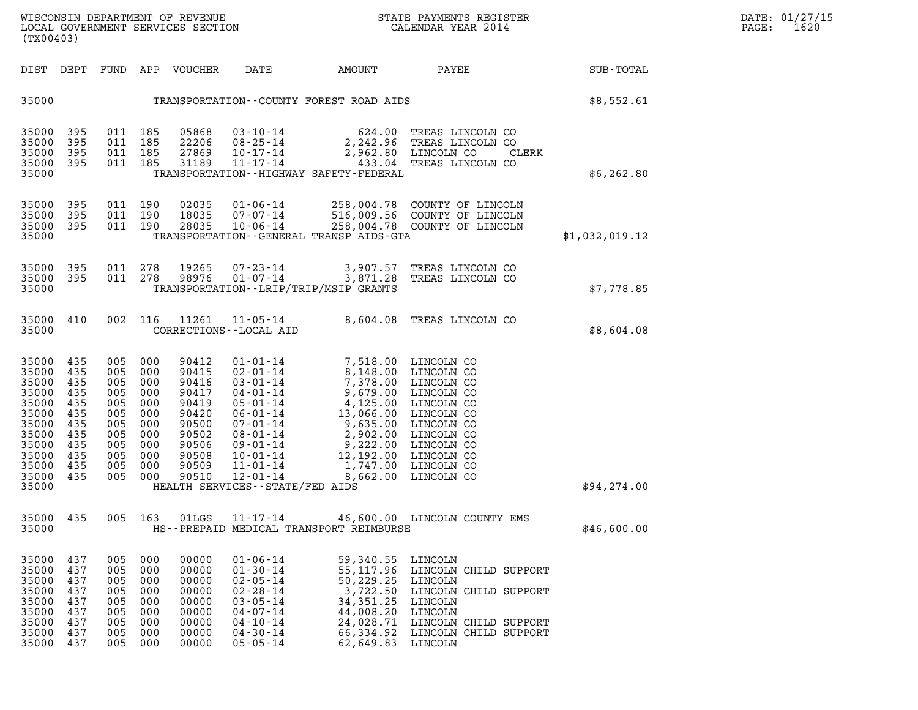| (TX00403)                                                                                                         |                                                                                  |                                                                                  |                                                                                  |                                                                                                          |                                                                                                                                                                                                                                                            |                                                                                                                                                |                                                                                                                                                                      |                |
|-------------------------------------------------------------------------------------------------------------------|----------------------------------------------------------------------------------|----------------------------------------------------------------------------------|----------------------------------------------------------------------------------|----------------------------------------------------------------------------------------------------------|------------------------------------------------------------------------------------------------------------------------------------------------------------------------------------------------------------------------------------------------------------|------------------------------------------------------------------------------------------------------------------------------------------------|----------------------------------------------------------------------------------------------------------------------------------------------------------------------|----------------|
| DIST                                                                                                              | DEPT                                                                             | FUND                                                                             | APP                                                                              | VOUCHER                                                                                                  | DATE                                                                                                                                                                                                                                                       | AMOUNT                                                                                                                                         | PAYEE                                                                                                                                                                | SUB-TOTAL      |
| 35000                                                                                                             |                                                                                  |                                                                                  |                                                                                  |                                                                                                          |                                                                                                                                                                                                                                                            | TRANSPORTATION--COUNTY FOREST ROAD AIDS                                                                                                        |                                                                                                                                                                      | \$8,552.61     |
| 35000<br>35000<br>35000<br>35000<br>35000                                                                         | 395<br>395<br>395<br>395                                                         | 011<br>011<br>011<br>011                                                         | 185<br>185<br>185<br>185                                                         | 05868<br>22206<br>27869<br>31189                                                                         | $03 - 10 - 14$<br>$08 - 25 - 14$<br>$10 - 17 - 14$<br>$11 - 17 - 14$                                                                                                                                                                                       | 624.00<br>2,242.96<br>433.04<br>TRANSPORTATION - - HIGHWAY SAFETY - FEDERAL                                                                    | TREAS LINCOLN CO<br>TREAS LINCOLN CO<br>2,962.80 LINCOLN CO<br>CLERK<br>TREAS LINCOLN CO                                                                             | \$6, 262.80    |
| 35000<br>35000<br>35000<br>35000                                                                                  | 395<br>395<br>395                                                                | 011<br>011<br>011                                                                | 190<br>190<br>190                                                                | 02035<br>18035<br>28035                                                                                  | $01 - 06 - 14$<br>$07 - 07 - 14$<br>$10 - 06 - 14$                                                                                                                                                                                                         | 258,004.78<br>258,004.78<br>TRANSPORTATION--GENERAL TRANSP AIDS-GTA                                                                            | COUNTY OF LINCOLN<br>516,009.56 COUNTY OF LINCOLN<br>COUNTY OF LINCOLN                                                                                               | \$1,032,019.12 |
| 35000<br>35000<br>35000                                                                                           | 395<br>395                                                                       | 011<br>011                                                                       | 278<br>278                                                                       | 19265<br>98976                                                                                           | $07 - 23 - 14$<br>$01 - 07 - 14$                                                                                                                                                                                                                           | 3,907.57<br>3,871.28<br>TRANSPORTATION - - LRIP/TRIP/MSIP GRANTS                                                                               | TREAS LINCOLN CO<br>TREAS LINCOLN CO                                                                                                                                 | \$7,778.85     |
| 35000<br>35000                                                                                                    | 410                                                                              | 002                                                                              | 116                                                                              | 11261                                                                                                    | $11 - 05 - 14$<br>CORRECTIONS - - LOCAL AID                                                                                                                                                                                                                | 8,604.08                                                                                                                                       | TREAS LINCOLN CO                                                                                                                                                     | \$8,604.08     |
| 35000<br>35000<br>35000<br>35000<br>35000<br>35000<br>35000<br>35000<br>35000<br>35000<br>35000<br>35000<br>35000 | 435<br>435<br>435<br>435<br>435<br>435<br>435<br>435<br>435<br>435<br>435<br>435 | 005<br>005<br>005<br>005<br>005<br>005<br>005<br>005<br>005<br>005<br>005<br>005 | 000<br>000<br>000<br>000<br>000<br>000<br>000<br>000<br>000<br>000<br>000<br>000 | 90412<br>90415<br>90416<br>90417<br>90419<br>90420<br>90500<br>90502<br>90506<br>90508<br>90509<br>90510 | $01 - 01 - 14$<br>$02 - 01 - 14$<br>$03 - 01 - 14$<br>$04 - 01 - 14$<br>$05 - 01 - 14$<br>$06 - 01 - 14$<br>$07 - 01 - 14$<br>$08 - 01 - 14$<br>$09 - 01 - 14$<br>$10 - 01 - 14$<br>$11 - 01 - 14$<br>$12 - 01 - 14$<br>HEALTH SERVICES - - STATE/FED AIDS | 7,518.00<br>8,148.00<br>7,378.00<br>9,679.00<br>4,125.00<br>13,066.00<br>9,635.00<br>2,902.00<br>9,222.00<br>12,192.00<br>1,747.00<br>8,662.00 | LINCOLN CO<br>LINCOLN CO<br>LINCOLN CO<br>LINCOLN CO<br>LINCOLN CO<br>LINCOLN CO<br>LINCOLN CO<br>LINCOLN CO<br>LINCOLN CO<br>LINCOLN CO<br>LINCOLN CO<br>LINCOLN CO | \$94, 274.00   |
| 35000<br>35000                                                                                                    | 435                                                                              | 005                                                                              | 163                                                                              | 01LGS                                                                                                    | $11 - 17 - 14$                                                                                                                                                                                                                                             | HS--PREPAID MEDICAL TRANSPORT REIMBURSE                                                                                                        | 46,600.00 LINCOLN COUNTY EMS                                                                                                                                         | \$46,600.00    |
| 35000<br>35000<br>35000<br>35000<br>35000<br>35000<br>35000<br>35000<br>35000                                     | 437<br>437<br>437<br>437<br>437<br>437<br>437<br>437<br>437                      | 005<br>005<br>005<br>005<br>005<br>005<br>005<br>005<br>005                      | 000<br>000<br>000<br>000<br>000<br>000<br>000<br>000<br>000                      | 00000<br>00000<br>00000<br>00000<br>00000<br>00000<br>00000<br>00000<br>00000                            | $01 - 06 - 14$<br>$01 - 30 - 14$<br>$02 - 05 - 14$<br>$02 - 28 - 14$<br>$03 - 05 - 14$<br>$04 - 07 - 14$<br>$04 - 10 - 14$<br>$04 - 30 - 14$<br>$05 - 05 - 14$                                                                                             | 59,340.55<br>55,117.96<br>50,229.25<br>3,722.50<br>34, 351. 25<br>44,008.20<br>24,028.71<br>66,334.92<br>62,649.83                             | LINCOLN<br>LINCOLN CHILD SUPPORT<br>LINCOLN<br>LINCOLN CHILD SUPPORT<br>LINCOLN<br>LINCOLN<br>LINCOLN CHILD SUPPORT<br>LINCOLN CHILD SUPPORT<br>LINCOLN              |                |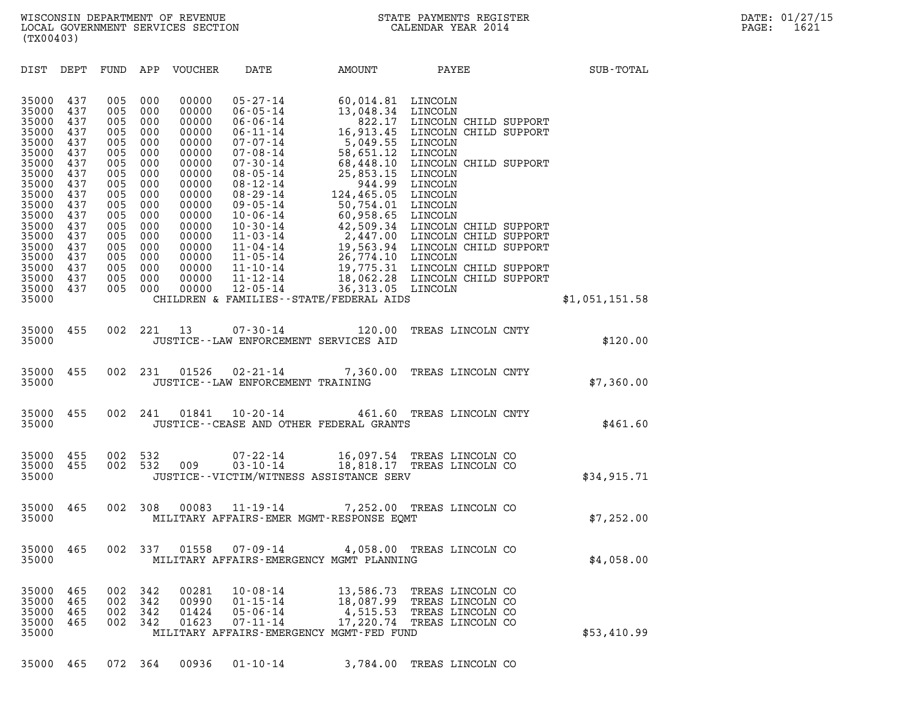| (TX00403)                                                                                                                                                                        |                                                                                                                                   |                                                                                                                                   |                                                                                                                                   |                                                                                                                                                                         |                                                                                                                                                                                                                                                                                                                                                    |                                                                                                                                                                                                                                                         |                                                                                                                                                                                                                                                                                                                                                |                |  |
|----------------------------------------------------------------------------------------------------------------------------------------------------------------------------------|-----------------------------------------------------------------------------------------------------------------------------------|-----------------------------------------------------------------------------------------------------------------------------------|-----------------------------------------------------------------------------------------------------------------------------------|-------------------------------------------------------------------------------------------------------------------------------------------------------------------------|----------------------------------------------------------------------------------------------------------------------------------------------------------------------------------------------------------------------------------------------------------------------------------------------------------------------------------------------------|---------------------------------------------------------------------------------------------------------------------------------------------------------------------------------------------------------------------------------------------------------|------------------------------------------------------------------------------------------------------------------------------------------------------------------------------------------------------------------------------------------------------------------------------------------------------------------------------------------------|----------------|--|
| DIST                                                                                                                                                                             | DEPT                                                                                                                              | FUND                                                                                                                              | APP                                                                                                                               | VOUCHER                                                                                                                                                                 | DATE                                                                                                                                                                                                                                                                                                                                               | AMOUNT                                                                                                                                                                                                                                                  | PAYEE                                                                                                                                                                                                                                                                                                                                          | SUB-TOTAL      |  |
| 35000<br>35000<br>35000<br>35000<br>35000<br>35000<br>35000<br>35000<br>35000<br>35000<br>35000<br>35000<br>35000<br>35000<br>35000<br>35000<br>35000<br>35000<br>35000<br>35000 | 437<br>437<br>437<br>437<br>437<br>437<br>437<br>437<br>437<br>437<br>437<br>437<br>437<br>437<br>437<br>437<br>437<br>437<br>437 | 005<br>005<br>005<br>005<br>005<br>005<br>005<br>005<br>005<br>005<br>005<br>005<br>005<br>005<br>005<br>005<br>005<br>005<br>005 | 000<br>000<br>000<br>000<br>000<br>000<br>000<br>000<br>000<br>000<br>000<br>000<br>000<br>000<br>000<br>000<br>000<br>000<br>000 | 00000<br>00000<br>00000<br>00000<br>00000<br>00000<br>00000<br>00000<br>00000<br>00000<br>00000<br>00000<br>00000<br>00000<br>00000<br>00000<br>00000<br>00000<br>00000 | $05 - 27 - 14$<br>$06 - 05 - 14$<br>$06 - 06 - 14$<br>$06 - 11 - 14$<br>$07 - 07 - 14$<br>$07 - 08 - 14$<br>$07 - 30 - 14$<br>$08 - 05 - 14$<br>$08 - 12 - 14$<br>$08 - 29 - 14$<br>$09 - 05 - 14$<br>$10 - 06 - 14$<br>$10 - 30 - 14$<br>$11 - 03 - 14$<br>$11 - 04 - 14$<br>$11 - 05 - 14$<br>$11 - 10 - 14$<br>$11 - 12 - 14$<br>$12 - 05 - 14$ | 60,014.81<br>13,048.34<br>822.17<br>16,913.45<br>5,049.55<br>58,651.12<br>68,448.10<br>25,853.15<br>944.99<br>124,465.05<br>50,754.01<br>60,958.65<br>42,509.34<br>26,774.10 LINCOLN<br>36,313.05 LINCOLN<br>CHILDREN & FAMILIES - - STATE/FEDERAL AIDS | LINCOLN<br>LINCOLN<br>LINCOLN CHILD SUPPORT<br>LINCOLN CHILD SUPPORT<br>LINCOLN<br>LINCOLN<br>LINCOLN CHILD SUPPORT<br>LINCOLN<br>LINCOLN<br>LINCOLN<br>LINCOLN<br>LINCOLN<br>LINCOLN CHILD SUPPORT<br>2,447.00 LINCOLN CHILD SUPPORT<br>19,563.94 LINCOLN CHILD SUPPORT<br>19,775.31 LINCOLN CHILD SUPPORT<br>18,062.28 LINCOLN CHILD SUPPORT | \$1,051,151.58 |  |
| 35000<br>35000                                                                                                                                                                   | 455                                                                                                                               | 002                                                                                                                               | 221                                                                                                                               | 13                                                                                                                                                                      | $07 - 30 - 14$                                                                                                                                                                                                                                                                                                                                     | 120.00<br>JUSTICE--LAW ENFORCEMENT SERVICES AID                                                                                                                                                                                                         | TREAS LINCOLN CNTY                                                                                                                                                                                                                                                                                                                             | \$120.00       |  |
| 35000<br>35000                                                                                                                                                                   | 455                                                                                                                               | 002                                                                                                                               | 231                                                                                                                               | 01526                                                                                                                                                                   | $02 - 21 - 14$<br>JUSTICE--LAW ENFORCEMENT TRAINING                                                                                                                                                                                                                                                                                                | 7,360.00                                                                                                                                                                                                                                                | TREAS LINCOLN CNTY                                                                                                                                                                                                                                                                                                                             | \$7,360.00     |  |
| 35000<br>35000                                                                                                                                                                   | 455                                                                                                                               | 002                                                                                                                               | 241                                                                                                                               | 01841                                                                                                                                                                   | $10 - 20 - 14$                                                                                                                                                                                                                                                                                                                                     | 461.60<br>JUSTICE -- CEASE AND OTHER FEDERAL GRANTS                                                                                                                                                                                                     | TREAS LINCOLN CNTY                                                                                                                                                                                                                                                                                                                             | \$461.60       |  |
| 35000<br>35000<br>35000                                                                                                                                                          | 455<br>455                                                                                                                        | 002<br>002                                                                                                                        | 532<br>532                                                                                                                        | 009                                                                                                                                                                     | $07 - 22 - 14$<br>$03 - 10 - 14$                                                                                                                                                                                                                                                                                                                   | JUSTICE - - VICTIM/WITNESS ASSISTANCE SERV                                                                                                                                                                                                              | 16,097.54 TREAS LINCOLN CO<br>18,818.17 TREAS LINCOLN CO                                                                                                                                                                                                                                                                                       | \$34,915.71    |  |
| 35000<br>35000                                                                                                                                                                   | 465                                                                                                                               | 002                                                                                                                               | 308                                                                                                                               | 00083                                                                                                                                                                   | $11 - 19 - 14$                                                                                                                                                                                                                                                                                                                                     | MILITARY AFFAIRS-EMER MGMT-RESPONSE EQMT                                                                                                                                                                                                                | 7,252.00 TREAS LINCOLN CO                                                                                                                                                                                                                                                                                                                      | \$7,252.00     |  |
| 35000<br>35000                                                                                                                                                                   | 465                                                                                                                               | 002                                                                                                                               | 337                                                                                                                               | 01558                                                                                                                                                                   | $07 - 09 - 14$                                                                                                                                                                                                                                                                                                                                     | 4,058.00<br>MILITARY AFFAIRS-EMERGENCY MGMT PLANNING                                                                                                                                                                                                    | TREAS LINCOLN CO                                                                                                                                                                                                                                                                                                                               | \$4,058.00     |  |
| 35000<br>35000<br>35000<br>35000<br>35000                                                                                                                                        | 465<br>465<br>465<br>465                                                                                                          | 002<br>002<br>002<br>002                                                                                                          | 342<br>342<br>342<br>342                                                                                                          | 00281<br>00990<br>01424<br>01623                                                                                                                                        | $10 - 08 - 14$<br>$01 - 15 - 14$<br>$05 - 06 - 14$<br>$07 - 11 - 14$                                                                                                                                                                                                                                                                               | 13,586.73<br>18,087.99<br>17,220.74<br>MILITARY AFFAIRS-EMERGENCY MGMT-FED FUND                                                                                                                                                                         | TREAS LINCOLN CO<br>TREAS LINCOLN CO<br>4,515.53 TREAS LINCOLN CO<br>TREAS LINCOLN CO                                                                                                                                                                                                                                                          | \$53,410.99    |  |

35000 465 072 364 00936 01-10-14 3,784.00 TREAS LINCOLN CO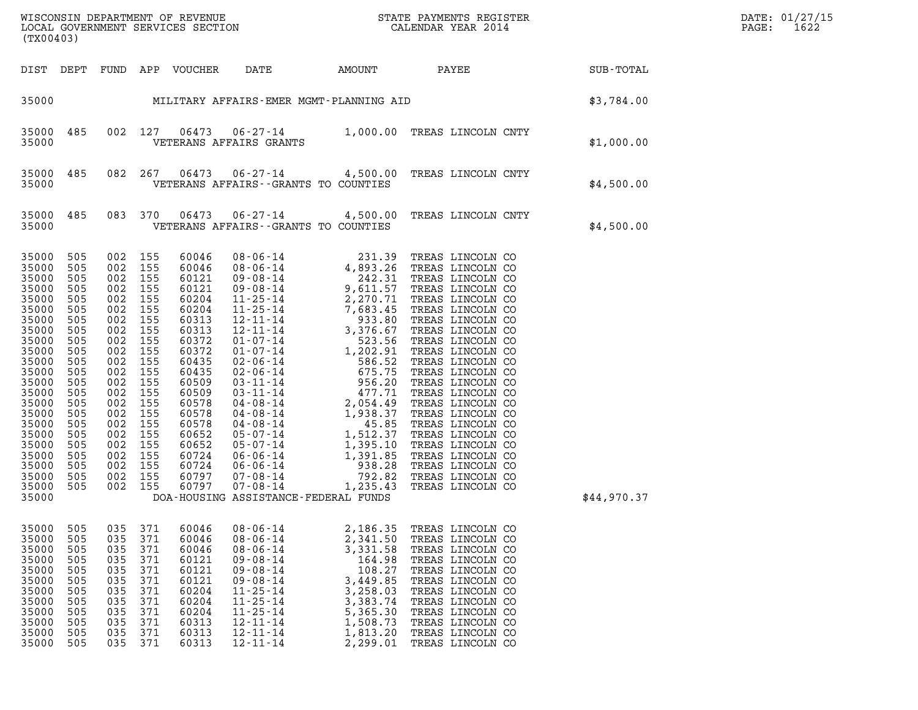| (TX00403)                                                                                                                                                                                                                |                                                                                                                                                        |                                                                                  |                                                                                                                                                                                         |                                                                                                                                                                                                             |                                                                                                                                                                                                                      |                                                                                                                                          |                                                                                                                                                                                                                                              |                                               | DATE: 01/27/15<br>PAGE:<br>1622 |
|--------------------------------------------------------------------------------------------------------------------------------------------------------------------------------------------------------------------------|--------------------------------------------------------------------------------------------------------------------------------------------------------|----------------------------------------------------------------------------------|-----------------------------------------------------------------------------------------------------------------------------------------------------------------------------------------|-------------------------------------------------------------------------------------------------------------------------------------------------------------------------------------------------------------|----------------------------------------------------------------------------------------------------------------------------------------------------------------------------------------------------------------------|------------------------------------------------------------------------------------------------------------------------------------------|----------------------------------------------------------------------------------------------------------------------------------------------------------------------------------------------------------------------------------------------|-----------------------------------------------|---------------------------------|
|                                                                                                                                                                                                                          |                                                                                                                                                        |                                                                                  |                                                                                                                                                                                         | DIST DEPT FUND APP VOUCHER DATE                                                                                                                                                                             |                                                                                                                                                                                                                      |                                                                                                                                          |                                                                                                                                                                                                                                              | AMOUNT PAYEE SUB-TOTAL                        |                                 |
|                                                                                                                                                                                                                          |                                                                                                                                                        |                                                                                  |                                                                                                                                                                                         |                                                                                                                                                                                                             |                                                                                                                                                                                                                      |                                                                                                                                          |                                                                                                                                                                                                                                              | 35000 MILITARY AFFAIRS-EMER MGMT-PLANNING AID |                                 |
| 35000 485<br>35000                                                                                                                                                                                                       |                                                                                                                                                        |                                                                                  | 002 127                                                                                                                                                                                 |                                                                                                                                                                                                             | VETERANS AFFAIRS GRANTS                                                                                                                                                                                              |                                                                                                                                          | 06473  06-27-14  1,000.00  TREAS LINCOLN CNTY                                                                                                                                                                                                | \$1,000.00                                    |                                 |
| 35000 485<br>35000                                                                                                                                                                                                       |                                                                                                                                                        |                                                                                  | 082 267                                                                                                                                                                                 | 06473                                                                                                                                                                                                       | VETERANS AFFAIRS -- GRANTS TO COUNTIES                                                                                                                                                                               |                                                                                                                                          | 06-27-14 4,500.00 TREAS LINCOLN CNTY                                                                                                                                                                                                         | \$4,500.00                                    |                                 |
| 35000 485<br>35000                                                                                                                                                                                                       |                                                                                                                                                        |                                                                                  | 083 370                                                                                                                                                                                 | 06473                                                                                                                                                                                                       | VETERANS AFFAIRS - GRANTS TO COUNTIES                                                                                                                                                                                |                                                                                                                                          | 06-27-14 4,500.00 TREAS LINCOLN CNTY                                                                                                                                                                                                         | \$4,500.00                                    |                                 |
| 35000 505<br>35000<br>35000<br>35000<br>35000<br>35000<br>35000<br>35000<br>35000<br>35000<br>35000<br>35000<br>35000<br>35000<br>35000<br>35000<br>35000<br>35000<br>35000<br>35000<br>35000<br>35000<br>35000<br>35000 | 505<br>505<br>505<br>505<br>505<br>505<br>505<br>505<br>505<br>505<br>505<br>505<br>505<br>505<br>505<br>505<br>505<br>505<br>505<br>505<br>505<br>505 | 002 155<br>002 155<br>002 155<br>002 155<br>002 155<br>002 155                   | 002 155<br>002 155<br>002 155<br>002 155<br>002 155<br>002 155<br>002 155<br>002 155<br>002 155<br>002 155<br>002 155<br>002 155<br>002 155<br>002 155<br>002 155<br>002 155<br>002 155 | 60046<br>60046<br>60121<br>60121<br>60204<br>60204<br>60313<br>60313<br>60372<br>60372<br>60435<br>60435<br>60509<br>60509<br>60578<br>60578<br>60578<br>60652<br>60652<br>60724<br>60724<br>60797<br>60797 | DOA-HOUSING ASSISTANCE-FEDERAL FUNDS                                                                                                                                                                                 |                                                                                                                                          |                                                                                                                                                                                                                                              | \$44,970.37                                   |                                 |
| 35000<br>35000<br>35000<br>35000<br>35000<br>35000<br>35000<br>35000<br>35000<br>35000<br>35000<br>35000                                                                                                                 | 505<br>505<br>505<br>505<br>505<br>505<br>505<br>505<br>505<br>505<br>505<br>505                                                                       | 035<br>035<br>035<br>035<br>035<br>035<br>035<br>035<br>035<br>035<br>035<br>035 | 371<br>371<br>371<br>371<br>371<br>371<br>371<br>371<br>371<br>371<br>371<br>371                                                                                                        | 60046<br>60046<br>60046<br>60121<br>60121<br>60121<br>60204<br>60204<br>60204<br>60313<br>60313<br>60313                                                                                                    | $08 - 06 - 14$<br>$08 - 06 - 14$<br>$08 - 06 - 14$<br>$09 - 08 - 14$<br>$09 - 08 - 14$<br>$09 - 08 - 14$<br>$11 - 25 - 14$<br>$11 - 25 - 14$<br>$11 - 25 - 14$<br>$12 - 11 - 14$<br>$12 - 11 - 14$<br>$12 - 11 - 14$ | 2,186.35<br>2,341.50<br>3,331.58<br>164.98<br>108.27<br>3,449.85<br>3,258.03<br>3,383.74<br>5,365.30<br>1,508.73<br>1,813.20<br>2,299.01 | TREAS LINCOLN CO<br>TREAS LINCOLN CO<br>TREAS LINCOLN CO<br>TREAS LINCOLN CO<br>TREAS LINCOLN CO<br>TREAS LINCOLN CO<br>TREAS LINCOLN CO<br>TREAS LINCOLN CO<br>TREAS LINCOLN CO<br>TREAS LINCOLN CO<br>TREAS LINCOLN CO<br>TREAS LINCOLN CO |                                               |                                 |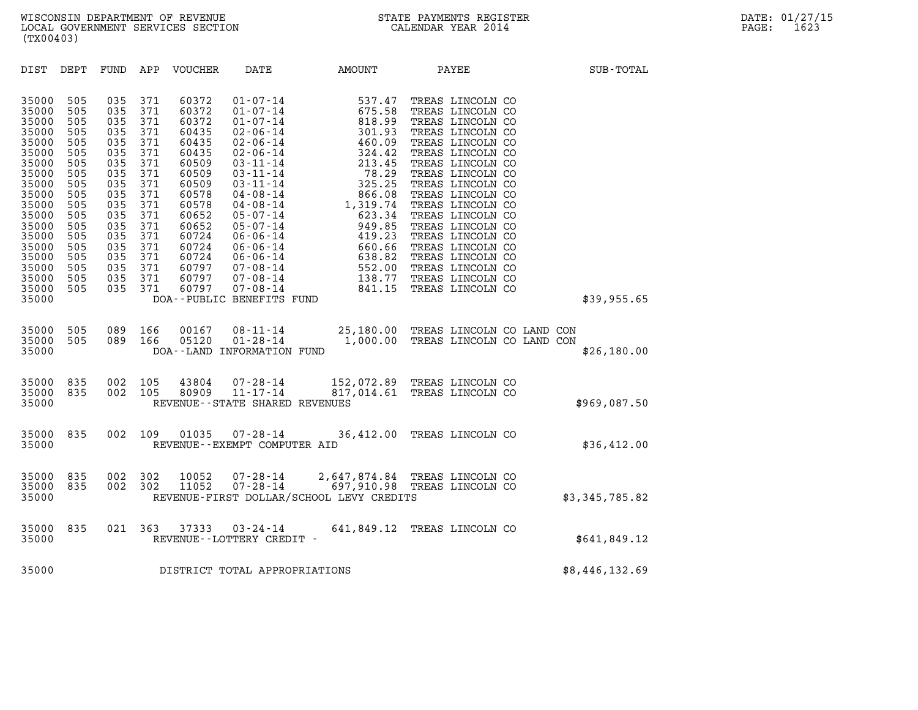| (TX00403)                                                                                                                                                                                                                                                                                                                                                                                                                                                  |                                                                                                                                                                                                                                                                                                                                           |                                                                                                                                                                                                                                                                                                                       |                                                                                                                                                                                                                                                                                                                                                                                          |                |
|------------------------------------------------------------------------------------------------------------------------------------------------------------------------------------------------------------------------------------------------------------------------------------------------------------------------------------------------------------------------------------------------------------------------------------------------------------|-------------------------------------------------------------------------------------------------------------------------------------------------------------------------------------------------------------------------------------------------------------------------------------------------------------------------------------------|-----------------------------------------------------------------------------------------------------------------------------------------------------------------------------------------------------------------------------------------------------------------------------------------------------------------------|------------------------------------------------------------------------------------------------------------------------------------------------------------------------------------------------------------------------------------------------------------------------------------------------------------------------------------------------------------------------------------------|----------------|
| DIST<br>DEPT<br><b>FUND</b>                                                                                                                                                                                                                                                                                                                                                                                                                                | APP<br>VOUCHER                                                                                                                                                                                                                                                                                                                            | AMOUNT<br>DATE                                                                                                                                                                                                                                                                                                        | PAYEE                                                                                                                                                                                                                                                                                                                                                                                    | SUB-TOTAL      |
| 35000<br>505<br>035<br>35000<br>505<br>035<br>505<br>035<br>35000<br>35000<br>505<br>035<br>035<br>35000<br>505<br>505<br>35000<br>035<br>505<br>035<br>35000<br>35000<br>505<br>035<br>505<br>035<br>35000<br>035<br>35000<br>505<br>505<br>035<br>35000<br>35000<br>505<br>035<br>35000<br>505<br>035<br>35000<br>505<br>035<br>35000<br>505<br>035<br>35000<br>505<br>035<br>035<br>35000<br>505<br>35000<br>505<br>035<br>35000<br>505<br>035<br>35000 | 371<br>60372<br>371<br>60372<br>371<br>60372<br>371<br>60435<br>371<br>60435<br>371<br>60435<br>371<br>60509<br>371<br>60509<br>371<br>60509<br>371<br>60578<br>371<br>60578<br>371<br>60652<br>371<br>60652<br>371<br>60724<br>371<br>60724<br>371<br>60724<br>371<br>60797<br>371<br>60797<br>371<br>60797<br>DOA--PUBLIC BENEFITS FUND | $\begin{array}{cccc} 01\hbox{-}07\hbox{-}14 & 537.47 \\ 01\hbox{-}07\hbox{-}14 & 675.58 \\ 01\hbox{-}07\hbox{-}14 & 818.99 \\ 02\hbox{-}06\hbox{-}14 & 301.93 \\ 02\hbox{-}06\hbox{-}14 & 460.09 \\ 02\hbox{-}06\hbox{-}14 & 213.45 \\ 03\hbox{-}11\hbox{-}14 & 78.29 \\ 03\hbox{-}11\hbox{-}14 & 78.29 \\ 04\hbox{-$ | TREAS LINCOLN CO<br>TREAS LINCOLN CO<br>TREAS LINCOLN CO<br>TREAS LINCOLN CO<br>TREAS LINCOLN CO<br>TREAS LINCOLN CO<br>TREAS LINCOLN CO<br>TREAS LINCOLN CO<br>TREAS LINCOLN CO<br>TREAS LINCOLN CO<br>TREAS LINCOLN CO<br>TREAS LINCOLN CO<br>TREAS LINCOLN CO<br>TREAS LINCOLN CO<br>TREAS LINCOLN CO<br>TREAS LINCOLN CO<br>TREAS LINCOLN CO<br>TREAS LINCOLN CO<br>TREAS LINCOLN CO | \$39,955.65    |
| 35000<br>505<br>089<br>35000<br>505<br>089<br>35000                                                                                                                                                                                                                                                                                                                                                                                                        | 166<br>00167<br>166<br>05120<br>DOA--LAND INFORMATION FUND                                                                                                                                                                                                                                                                                | 08-11-14 25,180.00 TREAS LINCOLN CO LAND CON<br>$01 - 28 - 14$                                                                                                                                                                                                                                                        | 1,000.00 TREAS LINCOLN CO LAND CON                                                                                                                                                                                                                                                                                                                                                       | \$26,180.00    |
| 835<br>002<br>35000<br>35000<br>835<br>002<br>35000                                                                                                                                                                                                                                                                                                                                                                                                        | 105<br>43804<br>105<br>80909                                                                                                                                                                                                                                                                                                              | $07 - 28 - 14$<br>11-17-14<br>152,072.89 TREAS LINCOLN CO<br>817,014.61 TREAS LINCOLN CO<br>REVENUE - - STATE SHARED REVENUES                                                                                                                                                                                         |                                                                                                                                                                                                                                                                                                                                                                                          | \$969,087.50   |
| 835<br>35000<br>35000                                                                                                                                                                                                                                                                                                                                                                                                                                      | 002 109<br>01035<br>REVENUE--EXEMPT COMPUTER AID                                                                                                                                                                                                                                                                                          | $07 - 28 - 14$                                                                                                                                                                                                                                                                                                        | 36,412.00 TREAS LINCOLN CO                                                                                                                                                                                                                                                                                                                                                               | \$36,412.00    |
| 35000<br>835<br>002<br>835<br>002<br>35000<br>35000                                                                                                                                                                                                                                                                                                                                                                                                        | 302<br>10052<br>302<br>11052                                                                                                                                                                                                                                                                                                              | 2,647,874.84 TREAS LINCOLN CO<br>697,910.98 TREAS LINCOLN CO<br>$07 - 28 - 14$<br>$07 - 28 - 14$<br>REVENUE-FIRST DOLLAR/SCHOOL LEVY CREDITS                                                                                                                                                                          |                                                                                                                                                                                                                                                                                                                                                                                          | \$3,345,785.82 |
| 835<br>35000<br>35000                                                                                                                                                                                                                                                                                                                                                                                                                                      | 021 363<br>37333<br>REVENUE--LOTTERY CREDIT -                                                                                                                                                                                                                                                                                             | 03-24-14<br>641,849.12 TREAS LINCOLN CO                                                                                                                                                                                                                                                                               |                                                                                                                                                                                                                                                                                                                                                                                          | \$641,849.12   |
| 35000                                                                                                                                                                                                                                                                                                                                                                                                                                                      | DISTRICT TOTAL APPROPRIATIONS                                                                                                                                                                                                                                                                                                             |                                                                                                                                                                                                                                                                                                                       |                                                                                                                                                                                                                                                                                                                                                                                          | \$8,446,132.69 |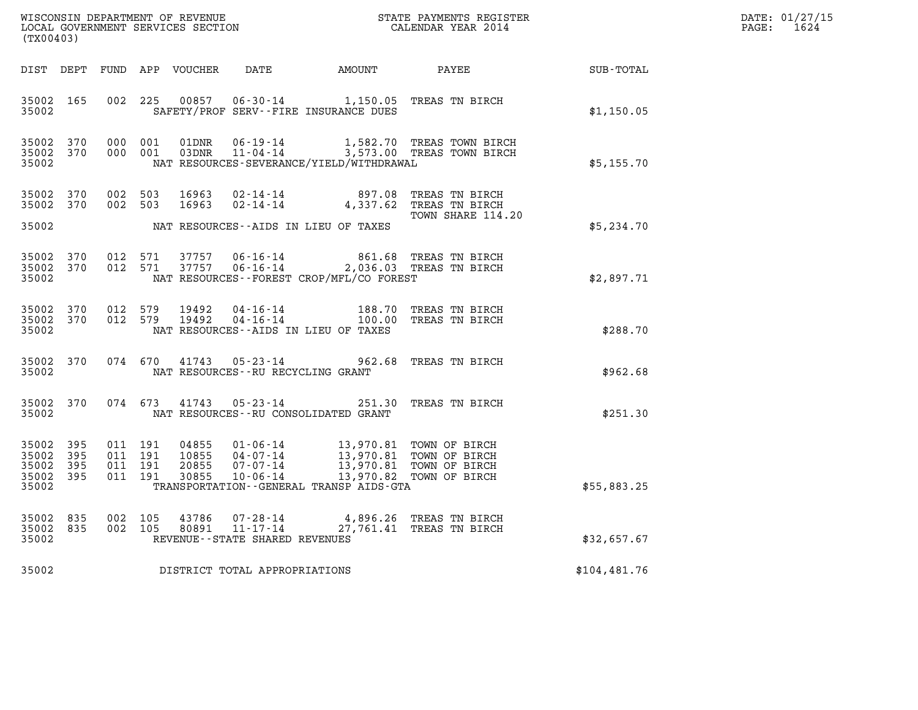| WISCONSIN DEPARTMENT OF REVENUE   | STATE PAYMENTS REGISTER | DATE: 01/27/15 |
|-----------------------------------|-------------------------|----------------|
| LOCAL GOVERNMENT SERVICES SECTION | CALENDAR YEAR 2014      | 1624<br>PAGE:  |

| WISCONSIN DEPARTMENT OF REVENUE<br>LOCAL GOVERNMENT SERVICES SECTION<br>LOCAL GOVERNMENT SERVICES SECTION<br>CALENDAR YEAR 2014<br>(TX00403) |                          |  |                                          |                                  |                                                        |                                                                                                                                                                                         |                                                                                            |              | DATE: 01/27/15<br>PAGE:<br>1624 |
|----------------------------------------------------------------------------------------------------------------------------------------------|--------------------------|--|------------------------------------------|----------------------------------|--------------------------------------------------------|-----------------------------------------------------------------------------------------------------------------------------------------------------------------------------------------|--------------------------------------------------------------------------------------------|--------------|---------------------------------|
|                                                                                                                                              |                          |  |                                          |                                  |                                                        | DIST DEPT FUND APP VOUCHER DATE AMOUNT PAYEE                                                                                                                                            |                                                                                            | SUB-TOTAL    |                                 |
| 35002 165<br>35002                                                                                                                           |                          |  | 002 225                                  | 00857                            |                                                        | SAFETY/PROF SERV--FIRE INSURANCE DUES                                                                                                                                                   | 06-30-14 1,150.05 TREAS TN BIRCH                                                           | \$1,150.05   |                                 |
| 35002 370<br>35002 370<br>35002                                                                                                              |                          |  | 000 001<br>000 001                       |                                  |                                                        | NAT RESOURCES-SEVERANCE/YIELD/WITHDRAWAL                                                                                                                                                | 01DNR  06-19-14   1,582.70 TREAS TOWN BIRCH<br>03DNR  11-04-14   3,573.00 TREAS TOWN BIRCH | \$5,155.70   |                                 |
| 35002 370<br>35002 370                                                                                                                       |                          |  | 002 503<br>002 503                       | 16963<br>16963                   |                                                        |                                                                                                                                                                                         | 02-14-14 897.08 TREAS TN BIRCH<br>02-14-14 4,337.62 TREAS TN BIRCH                         |              |                                 |
| 35002                                                                                                                                        |                          |  |                                          |                                  |                                                        | NAT RESOURCES--AIDS IN LIEU OF TAXES                                                                                                                                                    | TOWN SHARE 114.20                                                                          | \$5,234.70   |                                 |
| 35002 370<br>35002 370<br>35002                                                                                                              |                          |  | 012 571<br>012 571                       |                                  |                                                        | NAT RESOURCES--FOREST CROP/MFL/CO FOREST                                                                                                                                                | 37757  06-16-14  861.68  TREAS TN BIRCH<br>37757  06-16-14  2,036.03  TREAS TN BIRCH       | \$2,897.71   |                                 |
| 35002 370<br>35002 370<br>35002                                                                                                              |                          |  | 012 579<br>012 579                       | 19492<br>19492                   |                                                        | NAT RESOURCES -- AIDS IN LIEU OF TAXES                                                                                                                                                  | 04-16-14 188.70 TREAS TN BIRCH<br>04-16-14 100.00 TREAS TN BIRCH                           | \$288.70     |                                 |
| 35002 370<br>35002                                                                                                                           |                          |  | 074 670                                  | 41743                            | $05 - 23 - 14$<br>NAT RESOURCES - - RU RECYCLING GRANT |                                                                                                                                                                                         | 962.68 TREAS TN BIRCH                                                                      | \$962.68     |                                 |
| 35002 370<br>35002                                                                                                                           |                          |  |                                          |                                  | 074 673 41743 05-23-14                                 | NAT RESOURCES--RU CONSOLIDATED GRANT                                                                                                                                                    | 251.30 TREAS TN BIRCH                                                                      | \$251.30     |                                 |
| 35002<br>35002<br>35002<br>35002<br>35002                                                                                                    | 395<br>395<br>395<br>395 |  | 011 191<br>011 191<br>011 191<br>011 191 | 04855<br>10855<br>20855<br>30855 |                                                        | 01-06-14 13,970.81 TOWN OF BIRCH<br>04-07-14 13,970.81 TOWN OF BIRCH<br>07-07-14 13,970.81 TOWN OF BIRCH<br>10-06-14 13,970.82 TOWN OF BIRCH<br>TRANSPORTATION--GENERAL TRANSP AIDS-GTA |                                                                                            | \$55,883.25  |                                 |
| 35002<br>35002<br>35002                                                                                                                      | 835<br>835               |  | 002 105<br>002 105                       | 43786<br>80891                   | $11 - 17 - 14$<br>REVENUE--STATE SHARED REVENUES       | 07-28-14 4,896.26 TREAS TN BIRCH                                                                                                                                                        | 27,761.41 TREAS TN BIRCH                                                                   | \$32,657.67  |                                 |
| 35002                                                                                                                                        |                          |  |                                          |                                  | DISTRICT TOTAL APPROPRIATIONS                          |                                                                                                                                                                                         |                                                                                            | \$104,481.76 |                                 |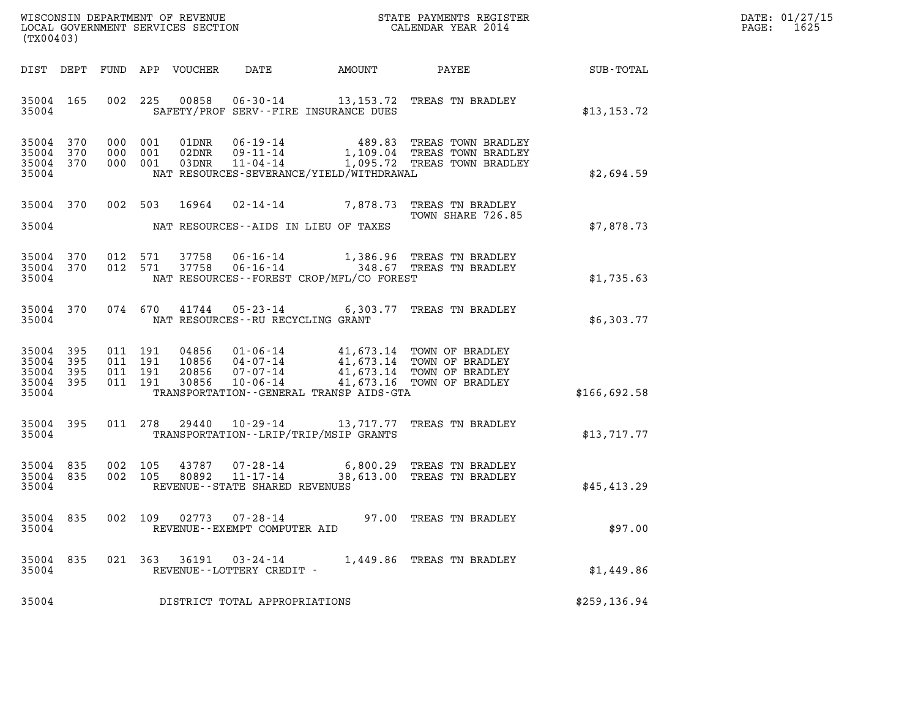| DATE: | 01/27/15 |
|-------|----------|
| PAGE: | 1625     |

| (TX00403)                                             |     |  |                                          |                            |                                                |                                             |                                                                                                                                                                     | DATE: 01/27/15<br>$\mathtt{PAGE:}$<br>1625 |  |
|-------------------------------------------------------|-----|--|------------------------------------------|----------------------------|------------------------------------------------|---------------------------------------------|---------------------------------------------------------------------------------------------------------------------------------------------------------------------|--------------------------------------------|--|
|                                                       |     |  |                                          | DIST DEPT FUND APP VOUCHER | DATE                                           | AMOUNT                                      |                                                                                                                                                                     | PAYEE SUB-TOTAL                            |  |
| 35004 165<br>35004                                    |     |  | 002 225                                  |                            |                                                | SAFETY/PROF SERV--FIRE INSURANCE DUES       | 00858  06-30-14  13,153.72  TREAS TN BRADLEY                                                                                                                        | \$13, 153.72                               |  |
| 35004 370<br>35004<br>35004 370<br>35004              | 370 |  | 000 001<br>000 001<br>000 001            | 01DNR<br>02DNR<br>03DNR    | $11 - 04 - 14$                                 | NAT RESOURCES-SEVERANCE/YIELD/WITHDRAWAL    | 06-19-14 489.83 TREAS TOWN BRADLEY<br>09-11-14 1,109.04 TREAS TOWN BRADLEY<br>1,095.72 TREAS TOWN BRADLEY                                                           | \$2,694.59                                 |  |
| 35004 370<br>35004                                    |     |  |                                          |                            |                                                | NAT RESOURCES--AIDS IN LIEU OF TAXES        | 002 503 16964 02-14-14 7,878.73 TREAS TN BRADLEY<br>TOWN SHARE 726.85                                                                                               | \$7,878.73                                 |  |
| 35004 370<br>35004 370<br>35004                       |     |  |                                          |                            |                                                | NAT RESOURCES - - FOREST CROP/MFL/CO FOREST | $0.12$ 571 37758 $06 - 16 - 14$ 1,386.96 TREAS TN BRADLEY<br>012 571 37758 06-16-14 348.67 TREAS TN BRADLEY                                                         | \$1,735.63                                 |  |
| 35004 370<br>35004                                    |     |  |                                          |                            | NAT RESOURCES -- RU RECYCLING GRANT            |                                             | 074 670 41744 05-23-14 6,303.77 TREAS TN BRADLEY                                                                                                                    | \$6,303.77                                 |  |
| 35004 395<br>35004<br>35004 395<br>35004 395<br>35004 | 395 |  | 011 191<br>011 191<br>011 191<br>011 191 | 30856                      | 10-06-14                                       | TRANSPORTATION--GENERAL TRANSP AIDS-GTA     | 04856  01-06-14  41,673.14 TOWN OF BRADLEY<br>10856  04-07-14  41,673.14 TOWN OF BRADLEY<br>20856  07-07-14  41,673.14 TOWN OF BRADLEY<br>41,673.16 TOWN OF BRADLEY | \$166,692.58                               |  |
| 35004 395<br>35004                                    |     |  | 011 278                                  |                            |                                                | TRANSPORTATION - - LRIP/TRIP/MSIP GRANTS    | 29440  10-29-14  13,717.77  TREAS TN BRADLEY                                                                                                                        | \$13,717.77                                |  |
| 35004 835<br>35004 835<br>35004                       |     |  | 002 105<br>002 105                       |                            | REVENUE--STATE SHARED REVENUES                 |                                             | 43787  07-28-14  6,800.29  TREAS TN BRADLEY<br>80892  11-17-14  38,613.00  TREAS TN BRADLEY                                                                         | \$45,413.29                                |  |
| 35004 835<br>35004                                    |     |  | 002 109                                  | 02773                      | $07 - 28 - 14$<br>REVENUE--EXEMPT COMPUTER AID |                                             | 97.00 TREAS TN BRADLEY                                                                                                                                              | \$97.00                                    |  |
| 35004 835<br>35004                                    |     |  | 021 363                                  | 36191                      | 03-24-14<br>REVENUE--LOTTERY CREDIT -          |                                             | 1,449.86 TREAS TN BRADLEY                                                                                                                                           | \$1,449.86                                 |  |
| 35004                                                 |     |  |                                          |                            | DISTRICT TOTAL APPROPRIATIONS                  |                                             |                                                                                                                                                                     | \$259, 136.94                              |  |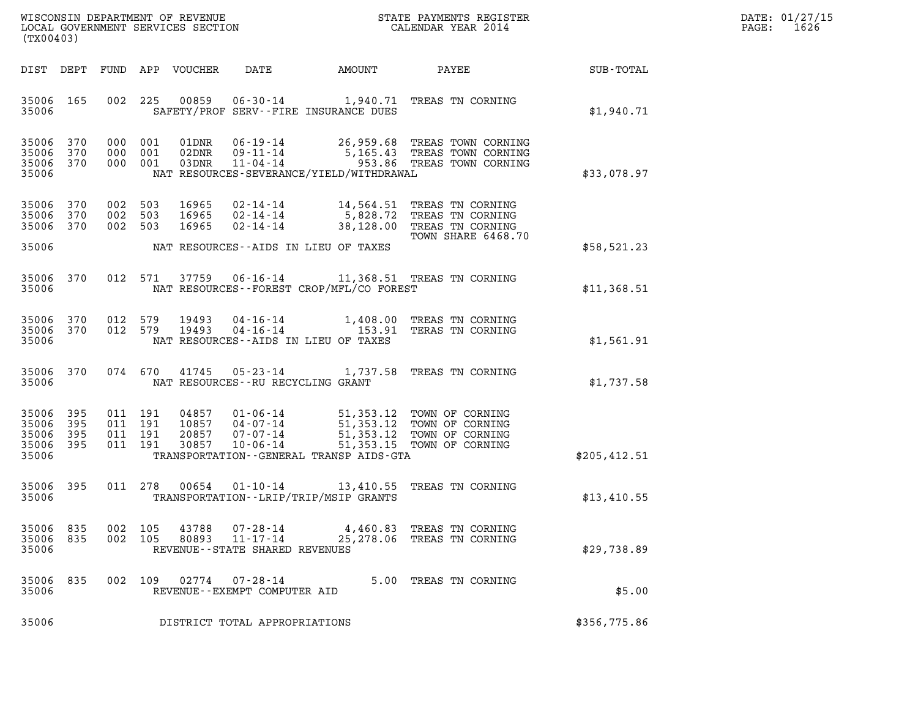| (TX00403)                                     |                   |                                          |                |                         |                                                                 |                                             |                                                                                                                                                      |                                               | DATE: 01/27/15<br>1626<br>$\mathtt{PAGE:}$ |
|-----------------------------------------------|-------------------|------------------------------------------|----------------|-------------------------|-----------------------------------------------------------------|---------------------------------------------|------------------------------------------------------------------------------------------------------------------------------------------------------|-----------------------------------------------|--------------------------------------------|
|                                               | DIST DEPT         |                                          |                | FUND APP VOUCHER        | DATE                                                            | AMOUNT                                      | PAYEE                                                                                                                                                | $\operatorname{SUB}$ - $\operatorname{TOTAL}$ |                                            |
| 35006 165<br>35006                            |                   |                                          | 002 225        | 00859                   | SAFETY/PROF SERV--FIRE INSURANCE DUES                           |                                             | 06-30-14 1,940.71 TREAS TN CORNING                                                                                                                   | \$1,940.71                                    |                                            |
| 35006 370<br>35006<br>35006 370<br>35006      | 370               | 000 001<br>000                           | 001<br>000 001 | 01DNR<br>02DNR<br>03DNR |                                                                 | NAT RESOURCES-SEVERANCE/YIELD/WITHDRAWAL    | 06-19-14 26,959.68 TREAS TOWN CORNING<br>09-11-14 5,165.43 TREAS TOWN CORNING<br>11-04-14 953.86 TREAS TOWN CORNING                                  | \$33,078.97                                   |                                            |
| 35006 370<br>35006<br>35006 370<br>35006      | 370               | 002 503<br>002 503<br>002 503            |                | 16965<br>16965<br>16965 | NAT RESOURCES--AIDS IN LIEU OF TAXES                            |                                             | 02-14-14 14,564.51 TREAS TN CORNING<br>02-14-14 5,828.72 TREAS TN CORNING<br>02-14-14 38,128.00 TREAS TN CORNING<br>TOWN SHARE 6468.70               | \$58,521.23                                   |                                            |
| 35006 370<br>35006                            |                   |                                          |                |                         |                                                                 | NAT RESOURCES - - FOREST CROP/MFL/CO FOREST | 012 571 37759 06-16-14 11,368.51 TREAS TN CORNING                                                                                                    | \$11,368.51                                   |                                            |
| 35006<br>35006 370<br>35006                   | 370               | 012 579                                  |                | 19493<br>012 579 19493  | NAT RESOURCES--AIDS IN LIEU OF TAXES                            |                                             | 04-16-14 1,408.00 TREAS TN CORNING<br>04-16-14 153.91 TERAS TN CORNING                                                                               | \$1,561.91                                    |                                            |
| 35006                                         | 35006 370         |                                          |                |                         | NAT RESOURCES - - RU RECYCLING GRANT                            |                                             | 074 670 41745 05-23-14 1,737.58 TREAS TN CORNING                                                                                                     | \$1,737.58                                    |                                            |
| 35006<br>35006<br>35006<br>35006 395<br>35006 | 395<br>395<br>395 | 011 191<br>011 191<br>011 191<br>011 191 |                | 04857<br>10857          | $01 - 06 - 14$<br>04-07-14<br>20857 07-07-14                    | TRANSPORTATION--GENERAL TRANSP AIDS-GTA     | 51,353.12 TOWN OF CORNING<br>51,353.12 TOWN OF CORNING<br>20857  07-07-14  51,353.12  TOWN OF CORNING<br>30857  10-06-14  51,353.15  TOWN OF CORNING | \$205,412.51                                  |                                            |
| 35006 395<br>35006                            |                   | 011 278                                  |                | 00654                   | TRANSPORTATION - - LRIP/TRIP/MSIP GRANTS                        |                                             | 01-10-14 13,410.55 TREAS TN CORNING                                                                                                                  | \$13,410.55                                   |                                            |
| 35006<br>35006<br>35006                       | 835<br>835        | 002                                      | 105<br>002 105 | 43788<br>80893          | 07-28-14<br>$11 - 17 - 14$<br>REVENUE - - STATE SHARED REVENUES |                                             | 4,460.83 TREAS TN CORNING<br>25,278.06 TREAS TN CORNING                                                                                              | \$29,738.89                                   |                                            |
| 35006<br>35006                                | 835               | 002                                      | 109            | 02774                   | $07 - 28 - 14$<br>REVENUE--EXEMPT COMPUTER AID                  |                                             | 5.00 TREAS TN CORNING                                                                                                                                | \$5.00                                        |                                            |
| 35006                                         |                   |                                          |                |                         | DISTRICT TOTAL APPROPRIATIONS                                   |                                             |                                                                                                                                                      | \$356,775.86                                  |                                            |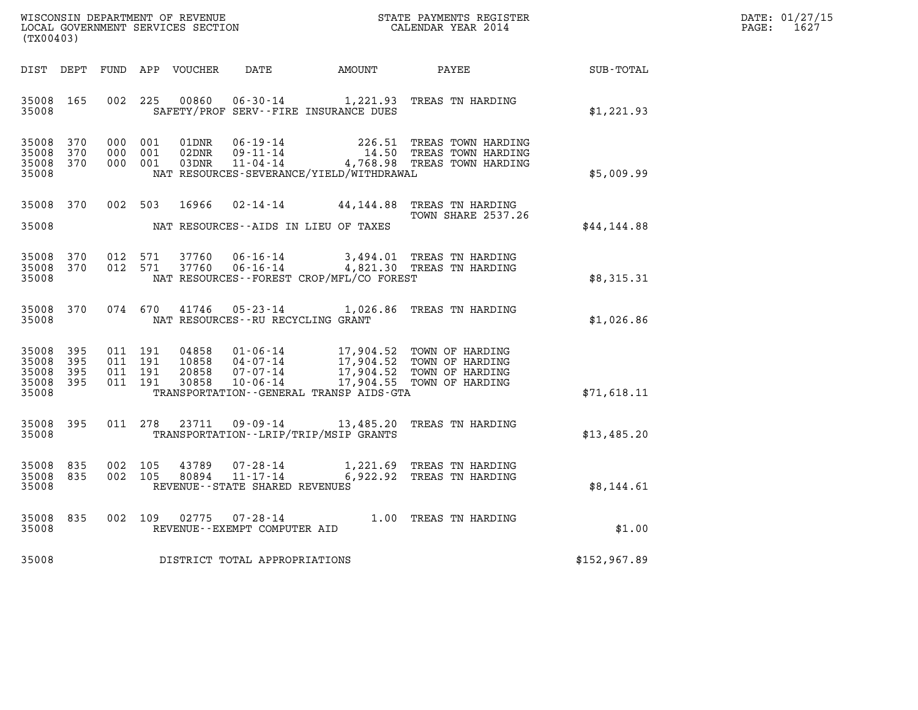| DATE: | 01/27/15 |
|-------|----------|
| PAGE: | 1627     |

| $\tt WISCONSIM DEPARTMENT OF REVENUE$ $\tt WISCONSIMENT$ SERVICES SECTION $\tt CALENDAR$ YEAR 2014<br>(TX00403) |            |  |                                          |                         |                                                                       |                                              |                                                                                                                                                                                          |              | DATE: 01/27/15<br>$\mathtt{PAGE:}$<br>1627 |
|-----------------------------------------------------------------------------------------------------------------|------------|--|------------------------------------------|-------------------------|-----------------------------------------------------------------------|----------------------------------------------|------------------------------------------------------------------------------------------------------------------------------------------------------------------------------------------|--------------|--------------------------------------------|
| DIST DEPT                                                                                                       |            |  |                                          | FUND APP VOUCHER        | DATE                                                                  | <b>AMOUNT</b>                                | <b>PAYEE</b> FOUND THE PAYEE                                                                                                                                                             | SUB-TOTAL    |                                            |
| 35008 165<br>35008                                                                                              |            |  | 002 225                                  |                         |                                                                       | SAFETY/PROF SERV--FIRE INSURANCE DUES        | 00860  06-30-14  1,221.93  TREAS TN HARDING                                                                                                                                              | \$1,221.93   |                                            |
| 35008<br>35008<br>35008 370<br>35008                                                                            | 370<br>370 |  | 000 001<br>000 001<br>000 001            | 01DNR<br>02DNR<br>03DNR | 06-19-14<br>$09 - 11 - 14$<br>$11 - 04 - 14$                          | NAT RESOURCES-SEVERANCE/YIELD/WITHDRAWAL     | 226.51 TREAS TOWN HARDING<br>14.50 TREAS TOWN HARDING<br>4,768.98 TREAS TOWN HARDING                                                                                                     | \$5,009.99   |                                            |
| 35008 370<br>35008                                                                                              |            |  | 002 503                                  | 16966                   |                                                                       | NAT RESOURCES--AIDS IN LIEU OF TAXES         | 02-14-14 44,144.88 TREAS TN HARDING<br><b>TOWN SHARE 2537.26</b>                                                                                                                         | \$44,144.88  |                                            |
| 35008 370<br>35008 370<br>35008                                                                                 |            |  | 012 571<br>012 571                       | 37760<br>37760          | 06-16-14<br>06-16-14                                                  | NAT RESOURCES--FOREST CROP/MFL/CO FOREST     | 3,494.01 TREAS TN HARDING<br>4,821.30 TREAS TN HARDING                                                                                                                                   | \$8,315.31   |                                            |
| 35008 370<br>35008                                                                                              |            |  | 074 670                                  | 41746                   |                                                                       | NAT RESOURCES - - RU RECYCLING GRANT         | 05-23-14 1,026.86 TREAS TN HARDING                                                                                                                                                       | \$1,026.86   |                                            |
| 35008<br>35008<br>35008 395<br>35008 395<br>35008                                                               | 395<br>395 |  | 011 191<br>011 191<br>011 191<br>011 191 |                         |                                                                       | TRANSPORTATION - - GENERAL TRANSP AIDS - GTA | 04858  01-06-14  17,904.52  TOWN OF HARDING<br>10858  04-07-14  17,904.52  TOWN OF HARDING<br>20858  07-07-14  17,904.52  TOWN OF HARDING<br>30858  10-06-14  17,904.55  TOWN OF HARDING | \$71,618.11  |                                            |
| 35008<br>35008                                                                                                  | 395        |  | 011 278                                  |                         |                                                                       | TRANSPORTATION - - LRIP/TRIP/MSIP GRANTS     | 23711  09-09-14  13,485.20 TREAS TN HARDING                                                                                                                                              | \$13,485.20  |                                            |
| 35008 835<br>35008 835<br>35008                                                                                 |            |  | 002 105<br>002 105                       |                         | 43789 07-28-14<br>80894 11-17-14<br>REVENUE - - STATE SHARED REVENUES |                                              | 1,221.69 TREAS TN HARDING<br>6,922.92 TREAS TN HARDING                                                                                                                                   | \$8,144.61   |                                            |
| 35008 835<br>35008                                                                                              |            |  |                                          |                         | REVENUE - - EXEMPT COMPUTER AID                                       |                                              | 002 109 02775 07-28-14 1.00 TREAS TN HARDING                                                                                                                                             | \$1.00       |                                            |
| 35008                                                                                                           |            |  |                                          |                         | DISTRICT TOTAL APPROPRIATIONS                                         |                                              |                                                                                                                                                                                          | \$152,967.89 |                                            |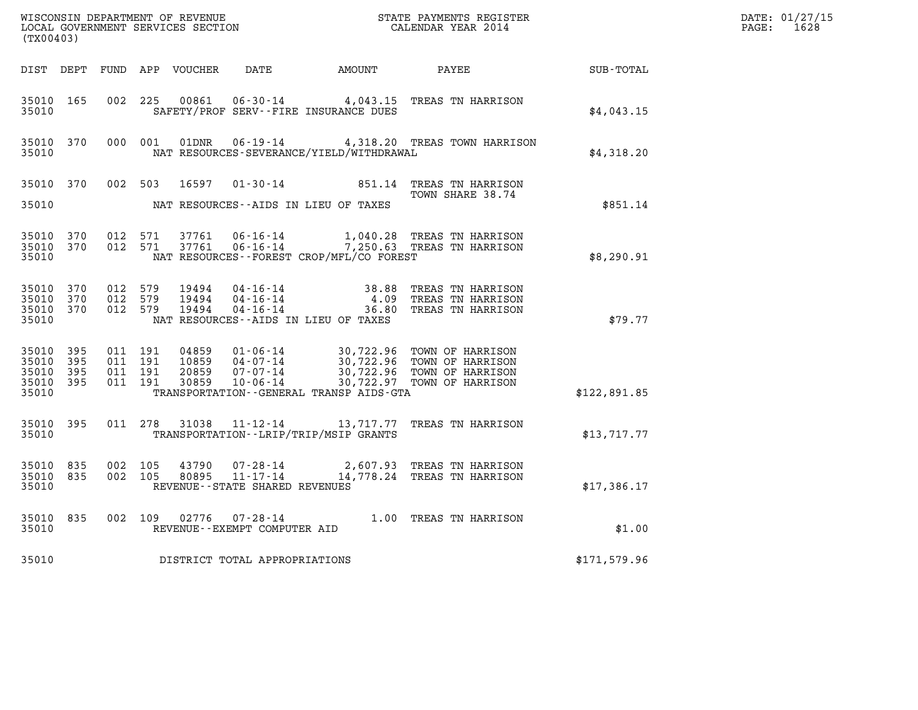| (TX00403)                                         |                   |                               |         |                                |                                          |                                                                                                                                                                                              |              | DATE: 01/27/15<br>PAGE: 1628 |
|---------------------------------------------------|-------------------|-------------------------------|---------|--------------------------------|------------------------------------------|----------------------------------------------------------------------------------------------------------------------------------------------------------------------------------------------|--------------|------------------------------|
|                                                   |                   |                               |         |                                |                                          | DIST DEPT FUND APP VOUCHER DATE AMOUNT PAYEE                                                                                                                                                 | SUB-TOTAL    |                              |
| 35010 165<br>35010                                |                   |                               |         |                                | SAFETY/PROF SERV--FIRE INSURANCE DUES    | 002 225 00861 06-30-14 4,043.15 TREAS TN HARRISON                                                                                                                                            | \$4,043.15   |                              |
| 35010                                             | 35010 370         |                               |         |                                | NAT RESOURCES-SEVERANCE/YIELD/WITHDRAWAL | 000 001 01DNR 06-19-14 4,318.20 TREAS TOWN HARRISON                                                                                                                                          | \$4,318.20   |                              |
| 35010                                             |                   |                               |         |                                | NAT RESOURCES--AIDS IN LIEU OF TAXES     | 35010 370 002 503 16597 01-30-14 851.14 TREAS TN HARRISON<br>TOWN SHARE 38.74                                                                                                                | \$851.14     |                              |
| 35010 370<br>35010                                | 35010 370 012 571 |                               | 012 571 |                                | NAT RESOURCES--FOREST CROP/MFL/CO FOREST | 37761  06-16-14   1,040.28 TREAS TN HARRISON<br>37761  06-16-14   7,250.63 TREAS TN HARRISON                                                                                                 | \$8,290.91   |                              |
| 35010 370<br>35010<br>35010 370<br>35010          | 370               | 012 579<br>012 579<br>012 579 |         |                                | NAT RESOURCES--AIDS IN LIEU OF TAXES     | 19494  04-16-14  38.88 TREAS TN HARRISON<br>19494  04-16-14   4.09 TREAS TN HARRISON<br>19494  04-16-14   36.80 TREAS TN HARRISON                                                            | \$79.77      |                              |
| 35010 395<br>35010<br>35010<br>35010 395<br>35010 | 395<br>395        | 011 191<br>011 191<br>011 191 | 011 191 |                                | TRANSPORTATION--GENERAL TRANSP AIDS-GTA  | 04859  01-06-14  30,722.96  TOWN OF HARRISON<br>10859  04-07-14  30,722.96  TOWN OF HARRISON<br>20859  07-07-14  30,722.96  TOWN OF HARRISON<br>30859  10-06-14  30,722.97  TOWN OF HARRISON | \$122,891.85 |                              |
| 35010                                             | 35010 395         |                               |         |                                | TRANSPORTATION - - LRIP/TRIP/MSIP GRANTS | 011 278 31038 11-12-14 13,717.77 TREAS TN HARRISON                                                                                                                                           | \$13,717.77  |                              |
| 35010 835<br>35010                                | 35010 835         | 002 105<br>002 105            |         | REVENUE--STATE SHARED REVENUES |                                          | 43790  07-28-14  2,607.93  TREAS TN HARRISON<br>80895  11-17-14  14,778.24  TREAS TN HARRISON                                                                                                | \$17,386.17  |                              |
| 35010                                             | 35010 835         |                               |         | REVENUE--EXEMPT COMPUTER AID   |                                          | 002 109 02776 07-28-14 1.00 TREAS TN HARRISON                                                                                                                                                | \$1.00       |                              |
| 35010                                             |                   |                               |         | DISTRICT TOTAL APPROPRIATIONS  |                                          |                                                                                                                                                                                              | \$171,579.96 |                              |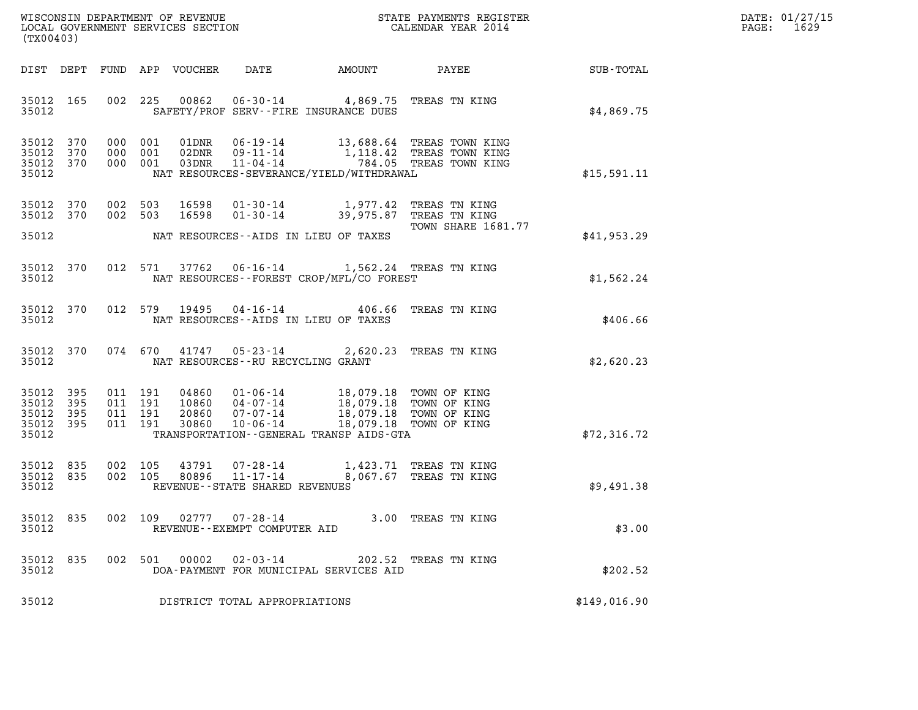| DATE: | 01/27/15 |
|-------|----------|
| PAGE: | 1629     |

| (TX00403)                                             |           |                               |                               |                            |                                                                                                                                        |               |                                                                                                                   |              | DATE: 01/27/15<br>1629<br>$\mathtt{PAGE:}$ |
|-------------------------------------------------------|-----------|-------------------------------|-------------------------------|----------------------------|----------------------------------------------------------------------------------------------------------------------------------------|---------------|-------------------------------------------------------------------------------------------------------------------|--------------|--------------------------------------------|
|                                                       |           |                               |                               | DIST DEPT FUND APP VOUCHER | DATE                                                                                                                                   | <b>AMOUNT</b> | PAYEE                                                                                                             | SUB-TOTAL    |                                            |
| 35012 165<br>35012                                    |           |                               |                               |                            | 002 225 00862 06-30-14 4,869.75 TREAS TN KING<br>SAFETY/PROF SERV--FIRE INSURANCE DUES                                                 |               |                                                                                                                   | \$4,869.75   |                                            |
| 35012 370<br>35012<br>35012 370<br>35012              | 370       |                               | 000 001<br>000 001<br>000 001 | 03DNR                      | $11 - 04 - 14$<br>NAT RESOURCES-SEVERANCE/YIELD/WITHDRAWAL                                                                             |               | 01DNR  06-19-14  13,688.64 TREAS TOWN KING<br>02DNR  09-11-14  1,118.42 TREAS TOWN KING<br>784.05 TREAS TOWN KING | \$15,591.11  |                                            |
| 35012 370<br>35012                                    | 35012 370 | 002 503                       | 002 503                       | 16598<br>16598             | 01-30-14 1,977.42 TREAS TN KING<br>01-30-14 39,975.87 TREAS TN KING<br>NAT RESOURCES--AIDS IN LIEU OF TAXES                            |               | TOWN SHARE 1681.77                                                                                                | \$41,953.29  |                                            |
| 35012                                                 | 35012 370 |                               | 012 571                       |                            | 37762  06-16-14   1,562.24   TREAS TN KING<br>NAT RESOURCES--FOREST CROP/MFL/CO FOREST                                                 |               |                                                                                                                   | \$1,562.24   |                                            |
| 35012                                                 | 35012 370 |                               |                               |                            | 012 579 19495 04-16-14 406.66 TREAS TN KING<br>NAT RESOURCES--AIDS IN LIEU OF TAXES                                                    |               |                                                                                                                   | \$406.66     |                                            |
| 35012                                                 | 35012 370 |                               | 074 670                       |                            | 41747  05-23-14  2,620.23  TREAS TN KING<br>NAT RESOURCES--RU RECYCLING GRANT                                                          |               |                                                                                                                   | \$2,620.23   |                                            |
| 35012 395<br>35012<br>35012 395<br>35012 395<br>35012 | 395       | 011 191<br>011 191<br>011 191 | 011 191                       | 20860<br>30860             | 04860  01-06-14  18,079.18  TOWN OF KING<br>10860 04-07-14<br>07-07-14<br>$10 - 06 - 14$<br>TRANSPORTATION - - GENERAL TRANSP AIDS-GTA |               | 18,079.18 TOWN OF KING<br>18,079.18 TOWN OF KING<br>18,079.18 TOWN OF KING                                        | \$72,316.72  |                                            |
| 35012 835<br>35012 835<br>35012                       |           | 002 105                       | 002 105                       | 43791<br>80896             | 07-28-14 1,423.71 TREAS TN KING<br>$11 - 17 - 14$<br>REVENUE - - STATE SHARED REVENUES                                                 |               | 8,067.67 TREAS TN KING                                                                                            | \$9,491.38   |                                            |
| 35012 835<br>35012                                    |           |                               |                               | 002 109 02777              | $07 - 28 - 14$<br>REVENUE--EXEMPT COMPUTER AID                                                                                         |               | 3.00 TREAS TN KING                                                                                                | \$3.00       |                                            |
| 35012 835<br>35012                                    |           |                               |                               | 002 501 00002              | 02-03-14<br>DOA-PAYMENT FOR MUNICIPAL SERVICES AID                                                                                     |               | 202.52 TREAS TN KING                                                                                              | \$202.52     |                                            |
| 35012                                                 |           |                               |                               |                            | DISTRICT TOTAL APPROPRIATIONS                                                                                                          |               |                                                                                                                   | \$149,016.90 |                                            |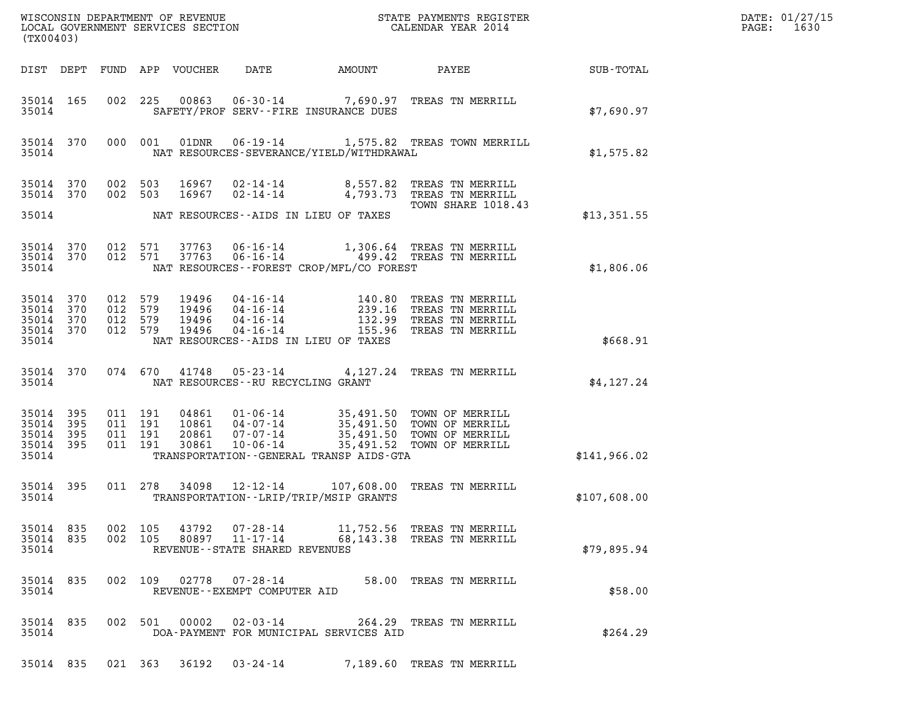| (TX00403)          |                                                                  |                    |                    |       |                                                  |                                            |                                                                                                                                                                                                                                                              |              | DATE: 01/27/15<br>$\mathtt{PAGE}$ :<br>1630 |
|--------------------|------------------------------------------------------------------|--------------------|--------------------|-------|--------------------------------------------------|--------------------------------------------|--------------------------------------------------------------------------------------------------------------------------------------------------------------------------------------------------------------------------------------------------------------|--------------|---------------------------------------------|
|                    |                                                                  |                    |                    |       |                                                  |                                            |                                                                                                                                                                                                                                                              |              |                                             |
| 35014              | 35014 165                                                        |                    |                    |       |                                                  | SAFETY/PROF SERV--FIRE INSURANCE DUES      | 002 225 00863 06-30-14 7,690.97 TREAS TN MERRILL                                                                                                                                                                                                             | \$7,690.97   |                                             |
|                    | 35014 370<br>35014                                               |                    |                    |       |                                                  | NAT RESOURCES-SEVERANCE/YIELD/WITHDRAWAL   | 000 001 01DNR  06-19-14  1,575.82 TREAS TOWN MERRILL                                                                                                                                                                                                         | \$1,575.82   |                                             |
|                    | 35014 370<br>35014 370                                           |                    | 002 503<br>002 503 |       |                                                  | 35014 NAT RESOURCES--AIDS IN LIEU OF TAXES | 16967  02-14-14  8,557.82  TREAS TN MERRILL<br>16967  02-14-14  4,793.73  TREAS TN MERRILL<br>TOWN SHARE 1018.43                                                                                                                                             | \$13,351.55  |                                             |
|                    |                                                                  |                    |                    |       |                                                  |                                            |                                                                                                                                                                                                                                                              |              |                                             |
| 35014              |                                                                  |                    |                    |       |                                                  | NAT RESOURCES--FOREST CROP/MFL/CO FOREST   | 35014 370 012 571 37763 06-16-14 1,306.64 TREAS TN MERRILL<br>35014 370 012 571 37763 06-16-14 499.42 TREAS TN MERRILL                                                                                                                                       | \$1,806.06   |                                             |
|                    | 35014 370 012 579<br>35014 370<br>35014 370<br>35014 370 012 579 | 012 579<br>012 579 |                    |       |                                                  | 35014 NAT RESOURCES--AIDS IN LIEU OF TAXES | 19496  04-16-14  140.80 TREAS TN MERRILL<br>19496  04-16-14  239.16 TREAS TN MERRILL<br>19496  04-16-14  132.99 TREAS TN MERRILL<br>19496  04-16-14  155.96 TREAS TN MERRILL                                                                                 | \$668.91     |                                             |
|                    |                                                                  |                    |                    |       | 35014 NAT RESOURCES--RU RECYCLING GRANT          |                                            | 35014 370 074 670 41748 05-23-14 4,127.24 TREAS TN MERRILL                                                                                                                                                                                                   | \$4,127.24   |                                             |
| 35014 395<br>35014 | 35014 395<br>35014 395<br>35014 395                              |                    |                    |       |                                                  |                                            | 011 191 04861 01-06-14 35,491.50 TOWN OF MERRILL<br>011 191 10861 04-07-14 35,491.50 TOWN OF MERRILL<br>011 191 30861 10-06-14 35,491.50 TOWN OF MERRILL<br>011 191 30861 10-06-14 35,491.52 TOWN OF MERRILL<br>TRANSPORTATION - - GENERAL TRANSP AIDS - GTA | \$141,966.02 |                                             |
|                    | 35014 395<br>35014                                               |                    |                    |       |                                                  | TRANSPORTATION - - LRIP/TRIP/MSIP GRANTS   | 011 278 34098 12-12-14 107,608.00 TREAS TN MERRILL                                                                                                                                                                                                           | \$107,608.00 |                                             |
| 35014              | 35014 835<br>35014 835                                           |                    | 002 105<br>002 105 | 43792 | 80897 11-17-14<br>REVENUE--STATE SHARED REVENUES |                                            | 07-28-14 11,752.56 TREAS TN MERRILL<br>68,143.38 TREAS TN MERRILL                                                                                                                                                                                            | \$79,895.94  |                                             |
| 35014              | 35014 835                                                        |                    |                    |       | REVENUE--EXEMPT COMPUTER AID                     |                                            | 002 109 02778 07-28-14 58.00 TREAS TN MERRILL                                                                                                                                                                                                                | \$58.00      |                                             |
| 35014              | 35014 835                                                        |                    |                    |       |                                                  | DOA-PAYMENT FOR MUNICIPAL SERVICES AID     | 002 501 00002 02-03-14 264.29 TREAS TN MERRILL                                                                                                                                                                                                               | \$264.29     |                                             |
|                    |                                                                  |                    |                    |       | 35014 835 021 363 36192 03-24-14                 |                                            | 7,189.60 TREAS TN MERRILL                                                                                                                                                                                                                                    |              |                                             |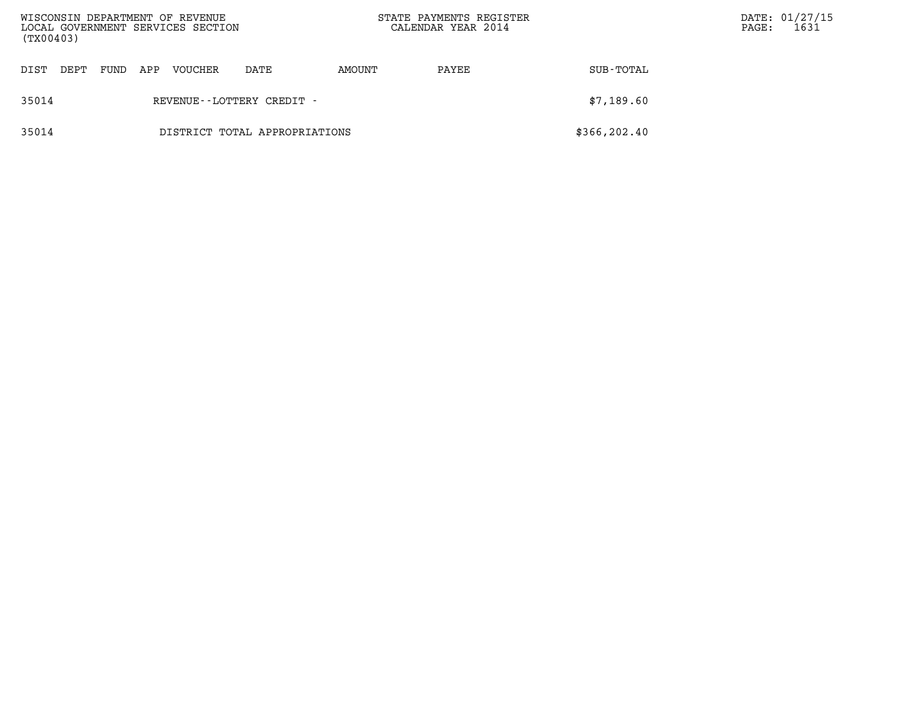| (TX00403) |      |      |     | WISCONSIN DEPARTMENT OF REVENUE<br>LOCAL GOVERNMENT SERVICES SECTION |                               | STATE PAYMENTS REGISTER<br>CALENDAR YEAR 2014 |       |               | $\mathtt{PAGE}$ : | DATE: 01/27/15<br>1631 |
|-----------|------|------|-----|----------------------------------------------------------------------|-------------------------------|-----------------------------------------------|-------|---------------|-------------------|------------------------|
| DIST      | DEPT | FUND | APP | VOUCHER                                                              | DATE                          | AMOUNT                                        | PAYEE | SUB-TOTAL     |                   |                        |
| 35014     |      |      |     |                                                                      | REVENUE--LOTTERY CREDIT -     |                                               |       | \$7,189.60    |                   |                        |
| 35014     |      |      |     |                                                                      | DISTRICT TOTAL APPROPRIATIONS |                                               |       | \$366, 202.40 |                   |                        |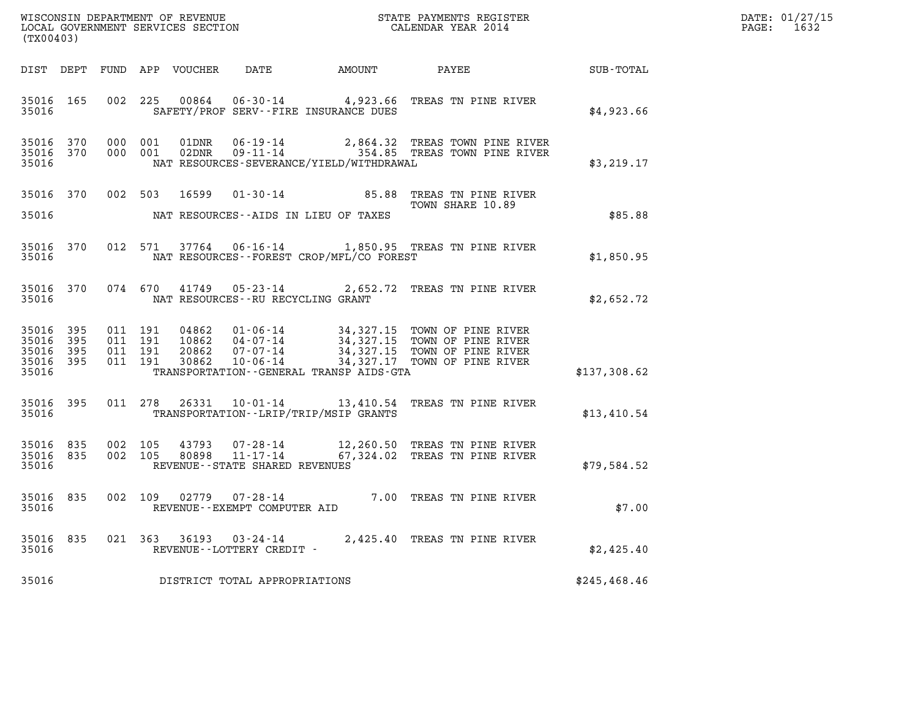| DATE: | 01/27/15 |
|-------|----------|
| PAGE: | 1632     |

| (TX00403)                       |                        |                                          |  |  |                                                     |                                                |                                                                                                                                                                                                                                                                                        |              | DATE: 01/27/15<br>PAGE: 1632 |
|---------------------------------|------------------------|------------------------------------------|--|--|-----------------------------------------------------|------------------------------------------------|----------------------------------------------------------------------------------------------------------------------------------------------------------------------------------------------------------------------------------------------------------------------------------------|--------------|------------------------------|
|                                 |                        |                                          |  |  |                                                     |                                                | DIST DEPT FUND APP VOUCHER DATE AMOUNT PAYEE SUB-TOTAL                                                                                                                                                                                                                                 |              |                              |
| 35016                           |                        |                                          |  |  |                                                     | SAFETY/PROF SERV--FIRE INSURANCE DUES          | 35016 165 002 225 00864 06-30-14 4,923.66 TREAS TN PINE RIVER                                                                                                                                                                                                                          | \$4,923.66   |                              |
| 35016                           |                        |                                          |  |  |                                                     | NAT RESOURCES-SEVERANCE/YIELD/WITHDRAWAL       | 35016 370 000 001 01DNR 06-19-14 2,864.32 TREAS TOWN PINE RIVER<br>35016 370 000 001 02DNR 09-11-14 354.85 TREAS TOWN PINE RIVER                                                                                                                                                       | \$3,219.17   |                              |
| 35016                           |                        |                                          |  |  |                                                     | NAT RESOURCES--AIDS IN LIEU OF TAXES           | 35016 370 002 503 16599 01-30-14 85.88 TREAS TN PINE RIVER<br>TOWN SHARE 10.89                                                                                                                                                                                                         | \$85.88      |                              |
| 35016                           |                        |                                          |  |  |                                                     | NAT RESOURCES - - FOREST CROP/MFL/CO FOREST    | 35016 370 012 571 37764 06-16-14 1,850.95 TREAS TN PINE RIVER                                                                                                                                                                                                                          | \$1,850.95   |                              |
|                                 |                        |                                          |  |  | 35016 NAT RESOURCES--RU RECYCLING GRANT             |                                                | 35016 370 074 670 41749 05-23-14 2,652.72 TREAS TN PINE RIVER                                                                                                                                                                                                                          | \$2,652.72   |                              |
| 35016 395<br>35016 395<br>35016 | 35016 395<br>35016 395 | 011 191<br>011 191<br>011 191<br>011 191 |  |  |                                                     | TRANSPORTATION - - GENERAL TRANSP AIDS-GTA     | $\begin{tabular}{c c c c c c c c c c} \hline 04862 & 01-06-14 & 34,327.15 & TOWN OF PINE RIVER \\ 10862 & 04-07-14 & 34,327.15 & TOWN OF PINE RIVER \\ 20862 & 07-07-14 & 34,327.15 & TOWN OF PINE RIVER \\ 30862 & 10-06-14 & 34,327.17 & TOWN OF PINE RIVER \\ \hline \end{tabular}$ | \$137,308.62 |                              |
|                                 |                        |                                          |  |  |                                                     | 35016 TRANSPORTATION - - LRIP/TRIP/MSIP GRANTS | 35016 395 011 278 26331 10-01-14 13,410.54 TREAS TN PINE RIVER                                                                                                                                                                                                                         | \$13,410.54  |                              |
| 35016                           | 35016 835              | 002 105                                  |  |  | REVENUE - - STATE SHARED REVENUES                   |                                                | 43793  07-28-14  12,260.50 TREAS TN PINE RIVER<br>35016 835 002 105 80898 11-17-14 67,324.02 TREAS TN PINE RIVER                                                                                                                                                                       | \$79,584.52  |                              |
| 35016                           |                        |                                          |  |  | REVENUE - - EXEMPT COMPUTER AID                     |                                                | 35016 835 002 109 02779 07-28-14 7.00 TREAS TN PINE RIVER                                                                                                                                                                                                                              | \$7.00       |                              |
| 35016<br>35016                  | 835                    |                                          |  |  | 021 363 36193 03-24-14<br>REVENUE--LOTTERY CREDIT - |                                                | 2,425.40 TREAS TN PINE RIVER                                                                                                                                                                                                                                                           | \$2,425.40   |                              |
| 35016                           |                        |                                          |  |  | DISTRICT TOTAL APPROPRIATIONS                       |                                                |                                                                                                                                                                                                                                                                                        | \$245,468.46 |                              |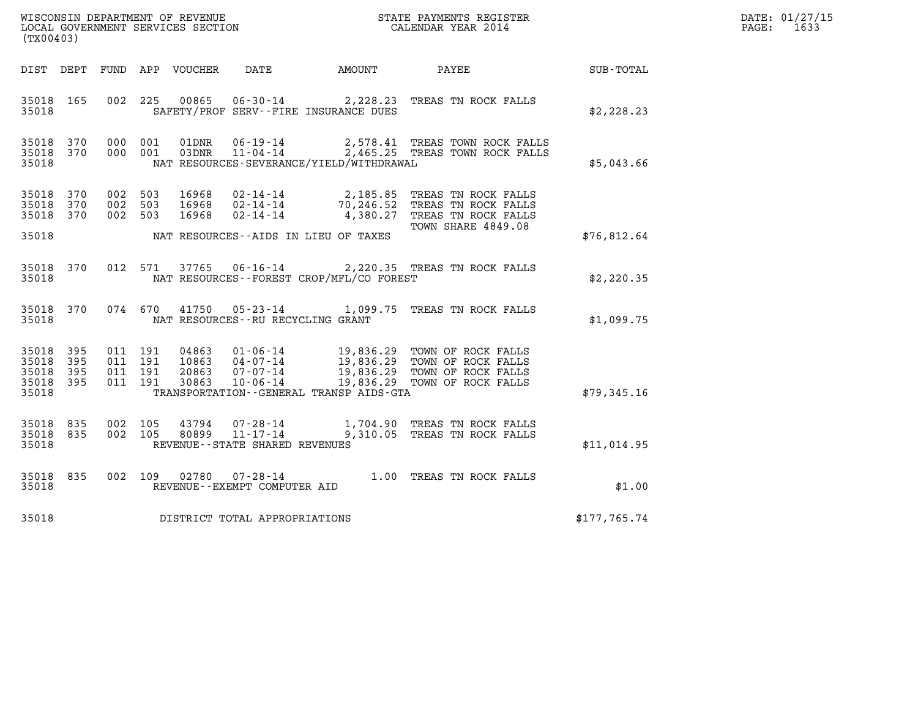| WISCONSIN DEPARTMENT OF REVENUE   | STATE PAYMENTS REGISTER | DATE: 01/27/15 |
|-----------------------------------|-------------------------|----------------|
| LOCAL GOVERNMENT SERVICES SECTION | CALENDAR YEAR 2014      | 1633<br>PAGE:  |

|                                           | WISCONSIN DEPARTMENT OF REVENUE<br>STATE PAYMENTS REGISTER<br>LOCAL GOVERNMENT SERVICES SECTION<br>CALENDAR YEAR 2014<br>(TX00403) |                          |                          |                                  |                                                                       |                                                      |                                                                                                                    |              |
|-------------------------------------------|------------------------------------------------------------------------------------------------------------------------------------|--------------------------|--------------------------|----------------------------------|-----------------------------------------------------------------------|------------------------------------------------------|--------------------------------------------------------------------------------------------------------------------|--------------|
| DIST                                      | DEPT                                                                                                                               | FUND                     | APP                      | VOUCHER                          | DATE                                                                  | AMOUNT                                               | PAYEE                                                                                                              | SUB-TOTAL    |
| 35018<br>35018                            | 165                                                                                                                                | 002                      | 225                      | 00865                            |                                                                       | SAFETY/PROF SERV--FIRE INSURANCE DUES                | 06-30-14 2,228.23 TREAS TN ROCK FALLS                                                                              | \$2,228.23   |
| 35018<br>35018<br>35018                   | 370<br>370                                                                                                                         | 000<br>000               | 001<br>001               | 01DNR<br>03DNR                   | 06-19-14<br>$11 - 04 - 14$                                            | NAT RESOURCES-SEVERANCE/YIELD/WITHDRAWAL             | 2,578.41 TREAS TOWN ROCK FALLS<br>2,465.25 TREAS TOWN ROCK FALLS                                                   | \$5,043.66   |
| 35018<br>35018<br>35018                   | 370<br>370<br>370                                                                                                                  | 002<br>002<br>002        | 503<br>503<br>503        | 16968<br>16968<br>16968          | $02 - 14 - 14$<br>$02 - 14 - 14$<br>$02 - 14 - 14$                    | 70, 246.52<br>4,380.27                               | 2,185.85 TREAS TN ROCK FALLS<br>TREAS TN ROCK FALLS<br>TREAS TN ROCK FALLS<br>TOWN SHARE 4849.08                   |              |
| 35018                                     |                                                                                                                                    |                          |                          |                                  |                                                                       | NAT RESOURCES--AIDS IN LIEU OF TAXES                 |                                                                                                                    | \$76,812.64  |
| 35018<br>35018                            | 370                                                                                                                                | 012                      | 571                      | 37765                            | $06 - 16 - 14$                                                        | NAT RESOURCES - - FOREST CROP/MFL/CO FOREST          | 2,220.35 TREAS TN ROCK FALLS                                                                                       | \$2,220.35   |
| 35018<br>35018                            | 370                                                                                                                                | 074                      | 670                      | 41750                            | $05 - 23 - 14$<br>NAT RESOURCES - - RU RECYCLING GRANT                | 1,099.75                                             | TREAS TN ROCK FALLS                                                                                                | \$1,099.75   |
| 35018<br>35018<br>35018<br>35018<br>35018 | 395<br>395<br>395<br>395                                                                                                           | 011<br>011<br>011<br>011 | 191<br>191<br>191<br>191 | 04863<br>10863<br>20863<br>30863 | $01 - 06 - 14$<br>$04 - 07 - 14$<br>$07 - 07 - 14$<br>$10 - 06 - 14$  | 19,836.29<br>TRANSPORTATION--GENERAL TRANSP AIDS-GTA | 19,836.29 TOWN OF ROCK FALLS<br>19,836.29 TOWN OF ROCK FALLS<br>19,836.29 TOWN OF ROCK FALLS<br>TOWN OF ROCK FALLS | \$79,345.16  |
| 35018<br>35018<br>35018                   | 835<br>835                                                                                                                         | 002<br>002               | 105<br>105               | 43794<br>80899                   | $07 - 28 - 14$<br>$11 - 17 - 14$<br>REVENUE - - STATE SHARED REVENUES | 9,310.05                                             | 1,704.90 TREAS TN ROCK FALLS<br>TREAS TN ROCK FALLS                                                                | \$11,014.95  |
| 35018<br>35018                            | 835                                                                                                                                | 002                      | 109                      | 02780                            | $07 - 28 - 14$<br>REVENUE--EXEMPT COMPUTER AID                        |                                                      | 1.00 TREAS TN ROCK FALLS                                                                                           | \$1.00       |
| 35018                                     |                                                                                                                                    |                          |                          |                                  | DISTRICT TOTAL APPROPRIATIONS                                         |                                                      |                                                                                                                    | \$177,765.74 |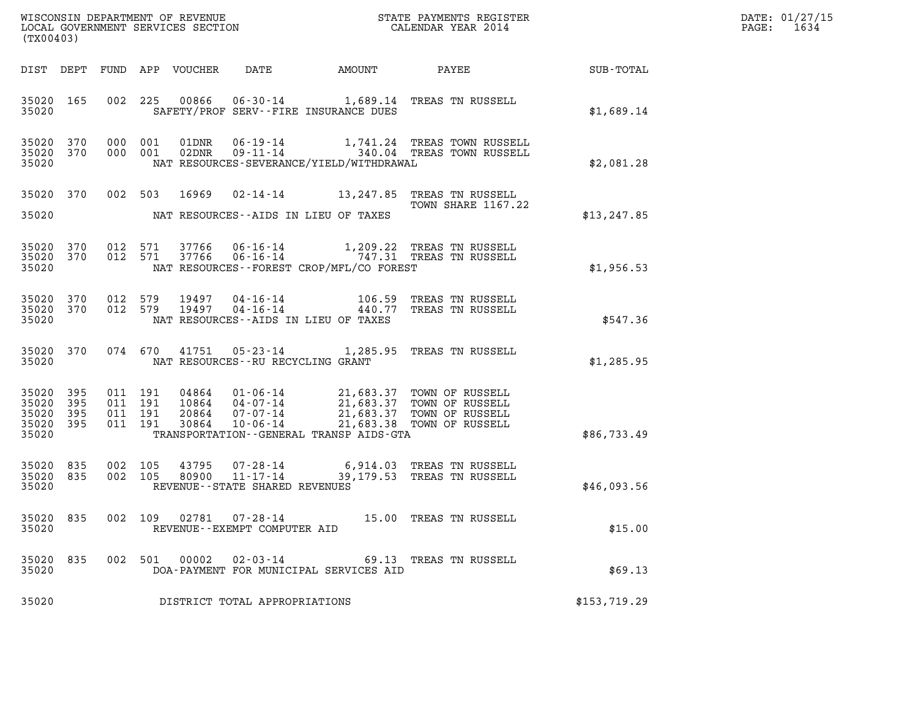| DATE: | 01/27/15 |
|-------|----------|
| PAGE: | 1634     |

| %WISCONSIN DEPARTMENT OF REVENUE $$\tt STATE$ PAYMENTS REGISTER LOCAL GOVERNMENT SERVICES SECTION $$\tt CALENDAR$ YEAR 2014<br>(TX00403) |                        |                                          |  |                                 |                                                |                                          |                                                                                                                                                                                          |              | DATE: 01/27/15<br>1634<br>$\mathtt{PAGE:}$ |
|------------------------------------------------------------------------------------------------------------------------------------------|------------------------|------------------------------------------|--|---------------------------------|------------------------------------------------|------------------------------------------|------------------------------------------------------------------------------------------------------------------------------------------------------------------------------------------|--------------|--------------------------------------------|
|                                                                                                                                          |                        |                                          |  | DIST DEPT FUND APP VOUCHER DATE |                                                |                                          | AMOUNT PAYEE                                                                                                                                                                             | SUB-TOTAL    |                                            |
| 35020                                                                                                                                    | 35020 165              |                                          |  |                                 |                                                | SAFETY/PROF SERV--FIRE INSURANCE DUES    | 002 225 00866 06-30-14 1,689.14 TREAS TN RUSSELL                                                                                                                                         | \$1,689.14   |                                            |
| 35020                                                                                                                                    | 35020 370              | 35020 370 000 001<br>000 001             |  |                                 |                                                | NAT RESOURCES-SEVERANCE/YIELD/WITHDRAWAL |                                                                                                                                                                                          | \$2,081.28   |                                            |
| 35020                                                                                                                                    |                        |                                          |  |                                 |                                                | NAT RESOURCES--AIDS IN LIEU OF TAXES     | 35020 370 002 503 16969 02-14-14 13,247.85 TREAS TN RUSSELL<br><b>TOWN SHARE 1167.22</b>                                                                                                 | \$13, 247.85 |                                            |
| 35020                                                                                                                                    | 35020 370              | 35020 370 012 571<br>012 571             |  |                                 |                                                | NAT RESOURCES--FOREST CROP/MFL/CO FOREST | 37766  06-16-14   1,209.22  TREAS TN RUSSELL<br>37766  06-16-14   747.31  TREAS TN RUSSELL                                                                                               | \$1,956.53   |                                            |
| 35020                                                                                                                                    | 35020 370<br>35020 370 |                                          |  |                                 |                                                | NAT RESOURCES--AIDS IN LIEU OF TAXES     | 012 579 19497 04-16-14 106.59 TREAS TN RUSSELL 012 579 19497 04-16-14 440.77 TREAS TN RUSSELL                                                                                            | \$547.36     |                                            |
| 35020                                                                                                                                    |                        |                                          |  |                                 | NAT RESOURCES--RU RECYCLING GRANT              |                                          | 35020 370 074 670 41751 05-23-14 1,285.95 TREAS TN RUSSELL                                                                                                                               | \$1,285.95   |                                            |
| 35020 395<br>35020<br>35020 395<br>35020 395<br>35020                                                                                    | 395                    | 011 191<br>011 191<br>011 191<br>011 191 |  |                                 |                                                | TRANSPORTATION--GENERAL TRANSP AIDS-GTA  | 04864  01-06-14  21,683.37  TOWN OF RUSSELL<br>10864  04-07-14  21,683.37  TOWN OF RUSSELL<br>20864  07-07-14  21,683.37  TOWN OF RUSSELL<br>30864  10-06-14  21,683.38  TOWN OF RUSSELL | \$86,733.49  |                                            |
| 35020 835<br>35020 835<br>35020                                                                                                          |                        | 002 105<br>002 105                       |  | 80900                           | REVENUE - - STATE SHARED REVENUES              |                                          | 43795  07-28-14  6,914.03  TREAS TN RUSSELL<br>80900  11-17-14  39,179.53  TREAS TN RUSSELL                                                                                              | \$46,093.56  |                                            |
| 35020 835<br>35020                                                                                                                       |                        |                                          |  | 002 109 02781                   | $07 - 28 - 14$<br>REVENUE--EXEMPT COMPUTER AID |                                          | 15.00 TREAS TN RUSSELL                                                                                                                                                                   | \$15.00      |                                            |
| 35020 835<br>35020                                                                                                                       |                        |                                          |  | 002 501 00002                   | 02-03-14                                       | DOA-PAYMENT FOR MUNICIPAL SERVICES AID   | 69.13 TREAS TN RUSSELL                                                                                                                                                                   | \$69.13      |                                            |
| 35020                                                                                                                                    |                        |                                          |  |                                 | DISTRICT TOTAL APPROPRIATIONS                  |                                          |                                                                                                                                                                                          | \$153,719.29 |                                            |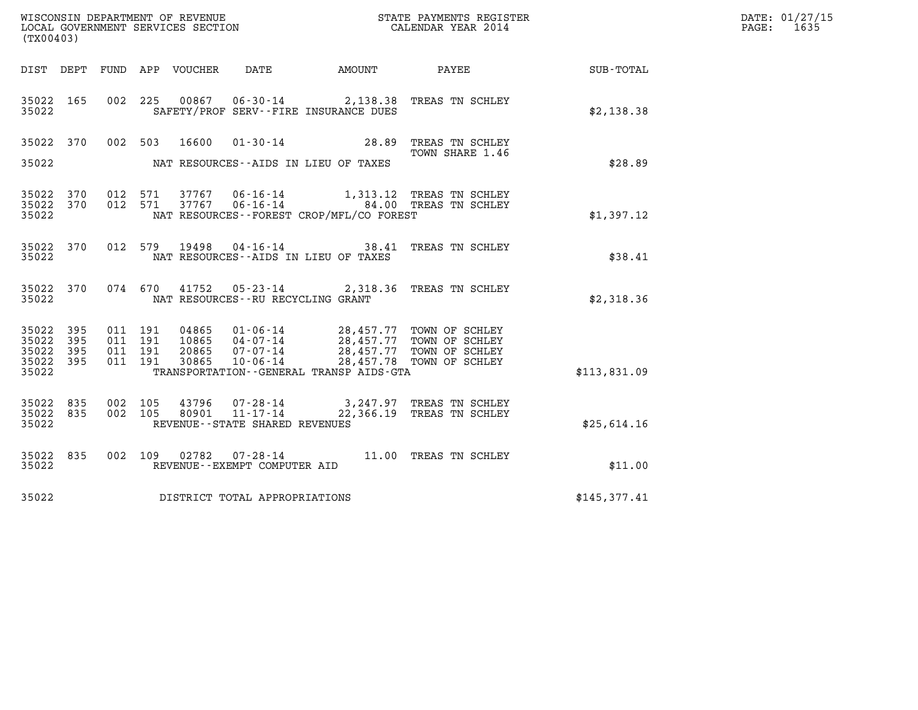| (TX00403)                                 |                          |                                          |                                  |                                                        |                                               | ${\tt WISCONSIM\ DEPARTMENT\ OF\ REVENUE}\hbox{\tt REVIEW\hbox{\tt STATE\ PAYMENTS\ REGISTER}\hbox{\tt SCOLGOL\ GOVERNMENT\ SERVICES\ SECTION}\hbox{\tt SECTION}\hbox{\tt CALENDAR\ YEAR\ 2014}$ |              | DATE: 01/27/15<br>$\mathtt{PAGE:}$<br>1635 |
|-------------------------------------------|--------------------------|------------------------------------------|----------------------------------|--------------------------------------------------------|-----------------------------------------------|--------------------------------------------------------------------------------------------------------------------------------------------------------------------------------------------------|--------------|--------------------------------------------|
| DIST DEPT                                 |                          |                                          | FUND APP VOUCHER                 | DATE                                                   | AMOUNT                                        | PAYEE                                                                                                                                                                                            | SUB-TOTAL    |                                            |
| 35022 165<br>35022                        |                          |                                          | 002 225                          |                                                        | SAFETY/PROF SERV--FIRE INSURANCE DUES         | 00867  06-30-14  2,138.38  TREAS TN SCHLEY                                                                                                                                                       | \$2,138.38   |                                            |
| 35022 370<br>35022                        |                          | 002 503                                  | 16600                            | 01-30-14                                               | 28.89<br>NAT RESOURCES--AIDS IN LIEU OF TAXES | TREAS TN SCHLEY<br>TOWN SHARE 1.46                                                                                                                                                               | \$28.89      |                                            |
| 35022 370<br>35022 370<br>35022           |                          | 012 571                                  | 012 571<br>37767                 | 37767 06-16-14<br>$06 - 16 - 14$                       | NAT RESOURCES--FOREST CROP/MFL/CO FOREST      | 1,313.12 TREAS TN SCHLEY<br>84.00 TREAS TN SCHLEY                                                                                                                                                | \$1,397.12   |                                            |
| 35022 370<br>35022                        |                          |                                          | 012 579<br>19498                 |                                                        | NAT RESOURCES--AIDS IN LIEU OF TAXES          | 04-16-14 38.41 TREAS TN SCHLEY                                                                                                                                                                   | \$38.41      |                                            |
| 35022 370<br>35022                        |                          |                                          | 074 670<br>41752                 | NAT RESOURCES - - RU RECYCLING GRANT                   |                                               | 05-23-14 2,318.36 TREAS TN SCHLEY                                                                                                                                                                | \$2,318.36   |                                            |
| 35022<br>35022<br>35022<br>35022<br>35022 | 395<br>395<br>395<br>395 | 011 191<br>011 191<br>011 191<br>011 191 | 04865<br>10865<br>20865<br>30865 | 07-07-14<br>10-06-14                                   | TRANSPORTATION - - GENERAL TRANSP AIDS - GTA  | 01-06-14 28,457.77 TOWN OF SCHLEY<br>04-07-14 28,457.77 TOWN OF SCHLEY<br>28,457.77 TOWN OF SCHLEY<br>28,457.78 TOWN OF SCHLEY                                                                   | \$113,831.09 |                                            |
| 35022 835<br>35022<br>35022               | 835                      | 002 105<br>002 105                       | 43796<br>80901                   | 07-28-14<br>11-17-14<br>REVENUE--STATE SHARED REVENUES |                                               | 3,247.97 TREAS TN SCHLEY<br>22,366.19 TREAS TN SCHLEY                                                                                                                                            | \$25,614.16  |                                            |
| 35022 835<br>35022                        |                          |                                          | 002 109<br>02782                 | REVENUE--EXEMPT COMPUTER AID                           |                                               |                                                                                                                                                                                                  | \$11.00      |                                            |
| 35022                                     |                          |                                          | DISTRICT TOTAL APPROPRIATIONS    |                                                        |                                               |                                                                                                                                                                                                  | \$145,377.41 |                                            |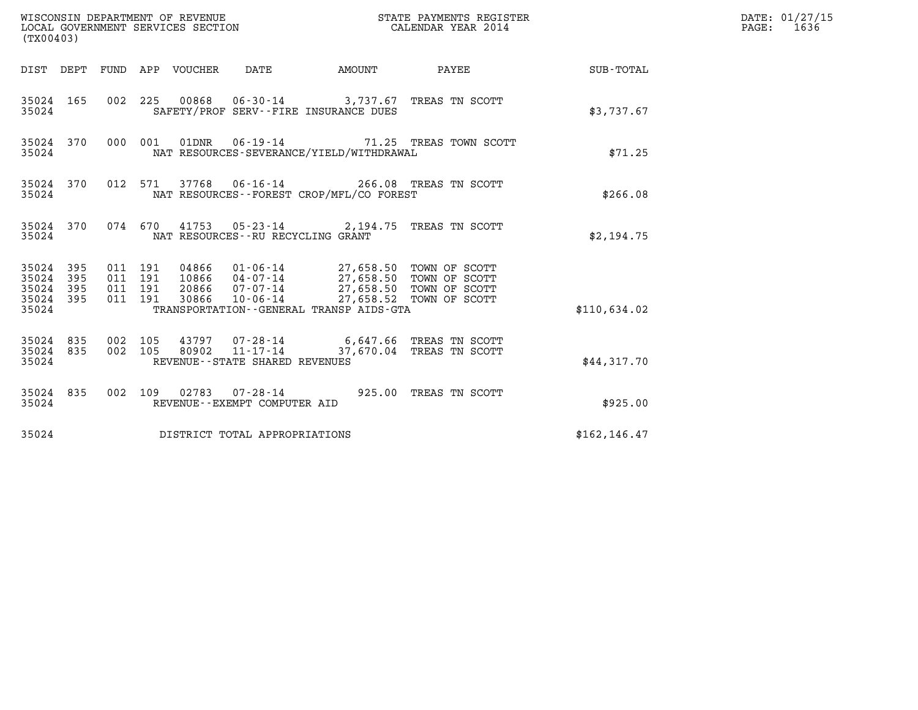| (TX00403)                                                       |                                          | WISCONSIN DEPARTMENT OF REVENUE<br>LOCAL GOVERNMENT SERVICES SECTION |                                               |                                                                                                                                                                            | STATE PAYMENTS REGISTER<br>CALENDAR YEAR 2014                      |               | DATE: 01/27/15<br>$\mathtt{PAGE:}$<br>1636 |
|-----------------------------------------------------------------|------------------------------------------|----------------------------------------------------------------------|-----------------------------------------------|----------------------------------------------------------------------------------------------------------------------------------------------------------------------------|--------------------------------------------------------------------|---------------|--------------------------------------------|
|                                                                 |                                          | DIST DEPT FUND APP VOUCHER DATE                                      |                                               | <b>AMOUNT</b>                                                                                                                                                              | PAYEE                                                              | SUB-TOTAL     |                                            |
| 35024 165<br>35024                                              |                                          |                                                                      |                                               | SAFETY/PROF SERV--FIRE INSURANCE DUES                                                                                                                                      | 002 225 00868 06-30-14 3,737.67 TREAS TN SCOTT                     | \$3,737.67    |                                            |
| 35024 370<br>35024                                              |                                          | 000 001                                                              |                                               | NAT RESOURCES-SEVERANCE/YIELD/WITHDRAWAL                                                                                                                                   | 01DNR  06-19-14  71.25 TREAS TOWN SCOTT                            | \$71.25       |                                            |
| 35024 370<br>35024                                              | 012 571                                  |                                                                      |                                               | NAT RESOURCES--FOREST CROP/MFL/CO FOREST                                                                                                                                   | 37768  06-16-14  266.08  TREAS TN SCOTT                            | \$266.08      |                                            |
| 35024 370<br>35024                                              |                                          |                                                                      | NAT RESOURCES -- RU RECYCLING GRANT           |                                                                                                                                                                            | 074 670 41753 05-23-14 2,194.75 TREAS TN SCOTT                     | \$2,194.75    |                                            |
| 35024 395<br>35024<br>395<br>35024<br>395<br>35024 395<br>35024 | 011 191<br>011 191<br>011 191<br>011 191 | 30866                                                                | $10 - 06 - 14$                                | 04866  01-06-14  27,658.50  TOWN OF SCOTT<br>10866  04-07-14  27,658.50 TOWN OF SCOTT<br>20866 07-07-14 27,658.50 TOWN OF SCOTT<br>TRANSPORTATION--GENERAL TRANSP AIDS-GTA | 27,658.52 TOWN OF SCOTT                                            | \$110,634.02  |                                            |
| 35024 835<br>35024<br>835<br>35024                              | 002 105<br>002 105                       | 80902                                                                | 11-17-14<br>REVENUE - - STATE SHARED REVENUES |                                                                                                                                                                            | 43797 07-28-14 6,647.66 TREAS TN SCOTT<br>37,670.04 TREAS TN SCOTT | \$44,317.70   |                                            |
| 35024 835<br>35024                                              |                                          |                                                                      | REVENUE--EXEMPT COMPUTER AID                  |                                                                                                                                                                            | 002 109 02783 07-28-14 925.00 TREAS TN SCOTT                       | \$925.00      |                                            |
| 35024                                                           |                                          | DISTRICT TOTAL APPROPRIATIONS                                        |                                               |                                                                                                                                                                            |                                                                    | \$162, 146.47 |                                            |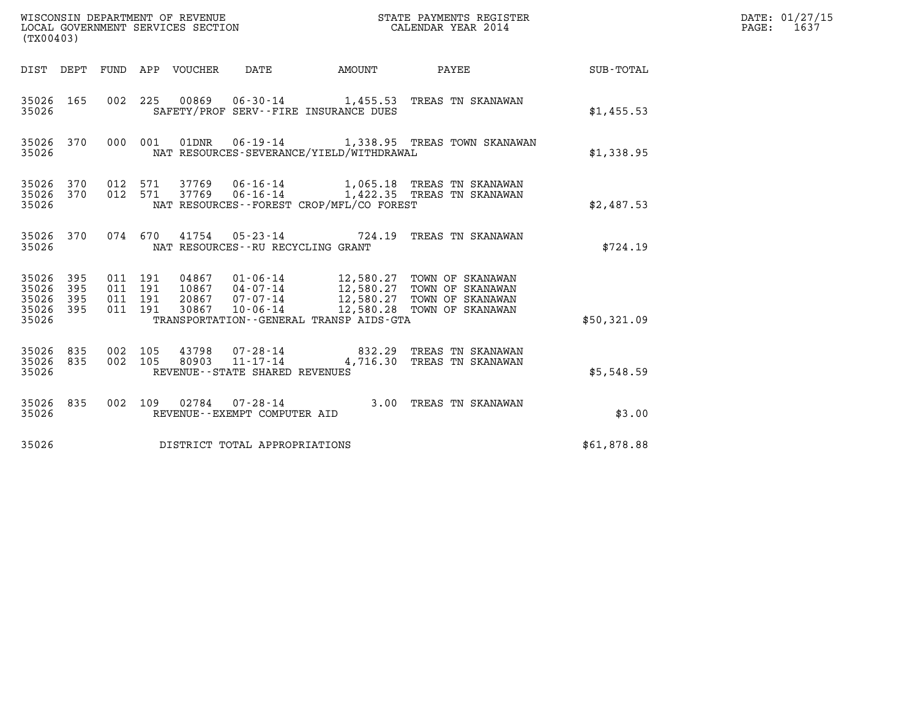| (TX00403)                                     |                   |                                          |       |                                   |                                              |                                                                                                                                                                                     |             | DATE: 01/27/15<br>PAGE: 1637 |
|-----------------------------------------------|-------------------|------------------------------------------|-------|-----------------------------------|----------------------------------------------|-------------------------------------------------------------------------------------------------------------------------------------------------------------------------------------|-------------|------------------------------|
|                                               |                   |                                          |       |                                   |                                              | DIST DEPT FUND APP VOUCHER DATE AMOUNT PAYEE TO SUB-TOTAL                                                                                                                           |             |                              |
| 35026 165<br>35026                            |                   |                                          |       |                                   | SAFETY/PROF SERV--FIRE INSURANCE DUES        | 002 225 00869 06-30-14 1,455.53 TREAS TN SKANAWAN                                                                                                                                   | \$1,455.53  |                              |
| 35026                                         |                   |                                          |       |                                   | NAT RESOURCES-SEVERANCE/YIELD/WITHDRAWAL     | 35026 370 000 001 01DNR 06-19-14 1,338.95 TREAS TOWN SKANAWAN                                                                                                                       | \$1,338.95  |                              |
| 35026 370 012 571<br>35026 370<br>35026       |                   | 012 571                                  |       |                                   | NAT RESOURCES--FOREST CROP/MFL/CO FOREST     |                                                                                                                                                                                     | \$2,487.53  |                              |
| 35026                                         |                   |                                          |       | NAT RESOURCES--RU RECYCLING GRANT |                                              | 35026 370 074 670 41754 05-23-14 724.19 TREAS TN SKANAWAN                                                                                                                           | \$724.19    |                              |
| 35026 395<br>35026<br>35026<br>35026<br>35026 | 395<br>395<br>395 | 011 191<br>011 191<br>011 191<br>011 191 | 30867 | $10 - 06 - 14$                    | TRANSPORTATION - - GENERAL TRANSP AIDS - GTA | 04867   01-06-14   12,580.27   TOWN OF SKANAWAN<br>10867   04-07-14   12,580.27   TOWN OF SKANAWAN<br>20867   07-07-14   12,580.27   TOWN OF SKANAWAN<br>12,580.28 TOWN OF SKANAWAN | \$50,321.09 |                              |
| 35026 835<br>35026 835<br>35026               |                   | 002 105<br>002 105                       |       | REVENUE - - STATE SHARED REVENUES |                                              | 43798   07-28-14   832.29 TREAS TN SKANAWAN<br>80903   11-17-14   4,716.30 TREAS TN SKANAWAN                                                                                        | \$5,548.59  |                              |
| 35026 835<br>35026                            |                   |                                          |       | REVENUE--EXEMPT COMPUTER AID      |                                              | 002 109 02784 07-28-14 3.00 TREAS TN SKANAWAN                                                                                                                                       | \$3.00      |                              |
| 35026                                         |                   |                                          |       | DISTRICT TOTAL APPROPRIATIONS     |                                              |                                                                                                                                                                                     | \$61,878.88 |                              |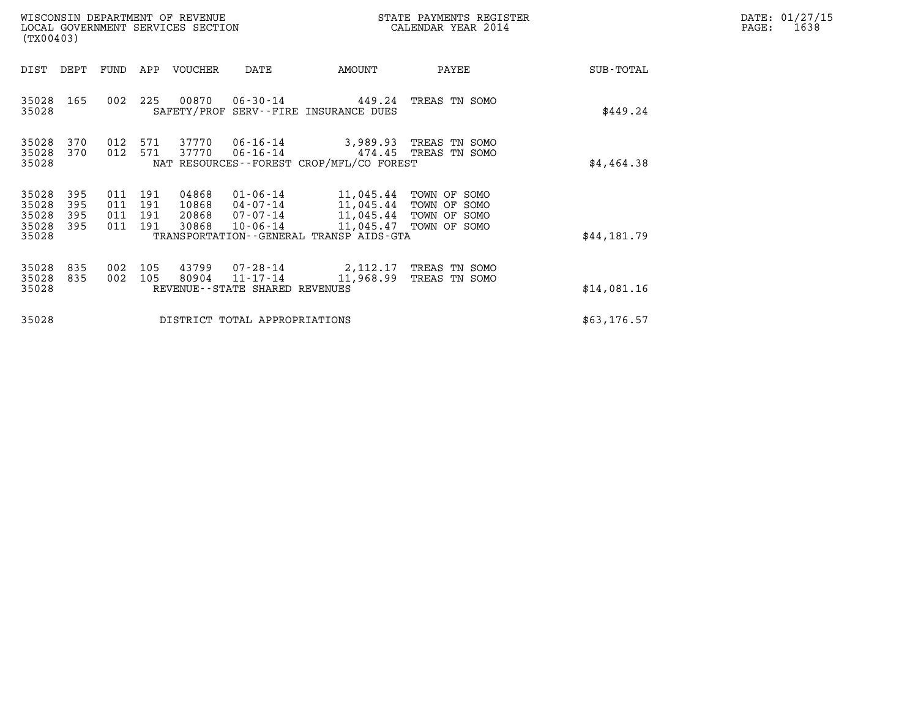| WISCONSIN DEPARTMENT OF REVENUE<br>LOCAL GOVERNMENT SERVICES SECTION<br>(TX00403)                 |                                                                                                                                                                                 | STATE PAYMENTS REGISTER<br>CALENDAR YEAR 2014                                                    |             | DATE: 01/27/15<br>$\mathtt{PAGE:}$<br>1638 |
|---------------------------------------------------------------------------------------------------|---------------------------------------------------------------------------------------------------------------------------------------------------------------------------------|--------------------------------------------------------------------------------------------------|-------------|--------------------------------------------|
| DIST<br>DEPT<br>FUND                                                                              | VOUCHER<br>APP<br>DATE                                                                                                                                                          | AMOUNT<br>PAYEE                                                                                  | SUB-TOTAL   |                                            |
| 35028<br>165<br>002<br>35028                                                                      | 225<br>00870<br>$06 - 30 - 14$<br>SAFETY/PROF SERV--FIRE INSURANCE DUES                                                                                                         | 449.24<br>TREAS TN SOMO                                                                          | \$449.24    |                                            |
| 35028<br>370<br>012<br>35028<br>370<br>012<br>35028                                               | 37770<br>06-16-14<br>571<br>571<br>37770<br>06-16-14<br>NAT RESOURCES--FOREST CROP/MFL/CO FOREST                                                                                | 3,989.93 TREAS TN SOMO<br>474.45<br>TREAS TN SOMO                                                | \$4,464.38  |                                            |
| 35028<br>395<br>011<br>35028<br>395<br>011<br>35028<br>395<br>011<br>35028<br>395<br>011<br>35028 | 191<br>04868<br>01-06-14<br>191<br>10868<br>11,045.44<br>04-07-14<br>191<br>20868<br>07-07-14<br>191<br>30868<br>$10 - 06 - 14$<br>TRANSPORTATION - - GENERAL TRANSP AIDS - GTA | 11,045.44<br>TOWN OF SOMO<br>TOWN OF SOMO<br>11,045.44 TOWN OF SOMO<br>11,045.47<br>TOWN OF SOMO | \$44,181.79 |                                            |
| 35028<br>835<br>002<br>35028<br>835<br>002<br>35028                                               | 43799<br>105<br>07-28-14<br>80904<br>$11 - 17 - 14$<br>105<br>REVENUE--STATE SHARED REVENUES                                                                                    | 2,112.17 TREAS TN SOMO<br>11,968.99<br>TREAS TN SOMO                                             | \$14,081.16 |                                            |
| 35028                                                                                             | DISTRICT TOTAL APPROPRIATIONS                                                                                                                                                   |                                                                                                  | \$63,176.57 |                                            |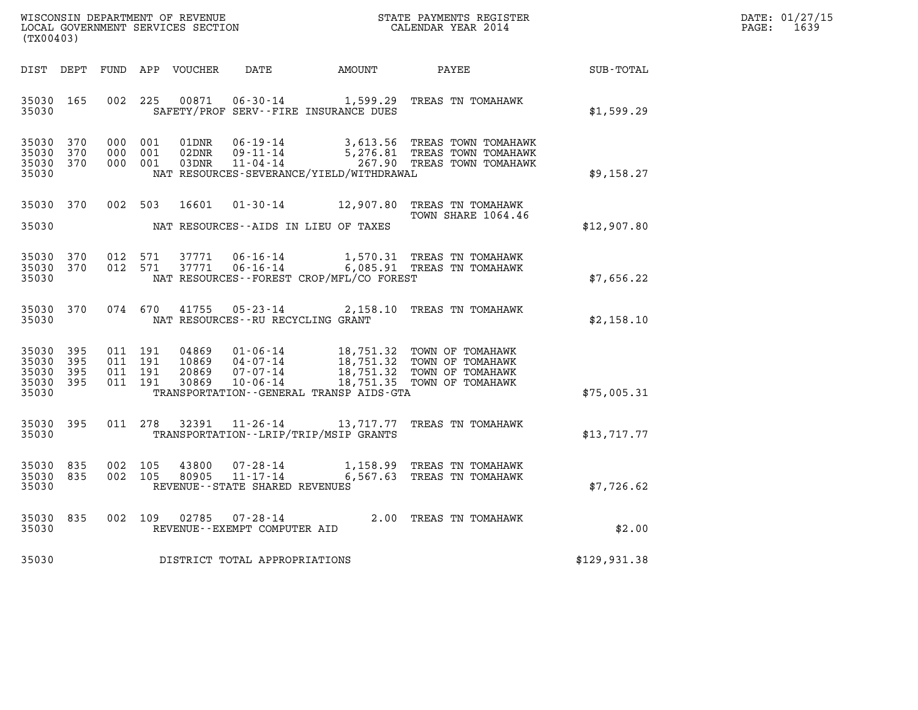| WISCONSIN DEPARTMENT OF REVENUE   | STATE PAYMENTS REGISTER | DATE: 01/27/15 |
|-----------------------------------|-------------------------|----------------|
| LOCAL GOVERNMENT SERVICES SECTION | CALENDAR YEAR 2014      | 1639<br>PAGE:  |

| (TX00403)                                         |            |                                          |               |                                     |                                          | WISCONSIN DEPARTMENT OF REVENUE                               STATE PAYMENTS REGISTER LOCAL GOVERNMENT SERVICES SECTION                               CALENDAR YEAR 2014                     |              | DATE: 01/27/15<br>$\mathtt{PAGE}$ :<br>1639 |
|---------------------------------------------------|------------|------------------------------------------|---------------|-------------------------------------|------------------------------------------|----------------------------------------------------------------------------------------------------------------------------------------------------------------------------------------------|--------------|---------------------------------------------|
| DIST DEPT                                         |            |                                          |               |                                     | FUND APP VOUCHER DATE AMOUNT PAYEE       |                                                                                                                                                                                              | SUB-TOTAL    |                                             |
| 35030 165<br>35030                                |            |                                          | 002 225 00871 |                                     | SAFETY/PROF SERV--FIRE INSURANCE DUES    | 06-30-14 1,599.29 TREAS TN TOMAHAWK                                                                                                                                                          | \$1,599.29   |                                             |
| 35030 370<br>35030<br>35030 370<br>35030          | 370        | 000 001<br>000 001<br>000 001            |               |                                     | NAT RESOURCES-SEVERANCE/YIELD/WITHDRAWAL |                                                                                                                                                                                              | \$9,158.27   |                                             |
| 35030 370<br>35030                                |            |                                          |               |                                     | NAT RESOURCES--AIDS IN LIEU OF TAXES     | 002 503 16601 01-30-14 12,907.80 TREAS TN TOMAHAWK<br>TOWN SHARE 1064.46                                                                                                                     | \$12,907.80  |                                             |
| 35030 370<br>35030 370<br>35030                   |            | 012 571<br>012 571                       | 37771         |                                     | NAT RESOURCES--FOREST CROP/MFL/CO FOREST | 37771  06-16-14   1,570.31   TREAS TN TOMAHAWK<br>06-16-14 6,085.91 TREAS TN TOMAHAWK                                                                                                        | \$7,656.22   |                                             |
| 35030 370<br>35030                                |            | 074 670                                  |               | NAT RESOURCES--RU RECYCLING GRANT   |                                          | 41755 05-23-14 2,158.10 TREAS TN TOMAHAWK                                                                                                                                                    | \$2,158.10   |                                             |
| 35030 395<br>35030<br>35030<br>35030 395<br>35030 | 395<br>395 | 011 191<br>011 191<br>011 191<br>011 191 |               |                                     | TRANSPORTATION--GENERAL TRANSP AIDS-GTA  | 04869  01-06-14  18,751.32  TOWN OF TOMAHAWK<br>10869  04-07-14  18,751.32  TOWN OF TOMAHAWK<br>20869  07-07-14  18,751.32  TOWN OF TOMAHAWK<br>30869  10-06-14  18,751.35  TOWN OF TOMAHAWK | \$75,005.31  |                                             |
| 35030 395<br>35030                                |            |                                          | 011 278 32391 |                                     | TRANSPORTATION - - LRIP/TRIP/MSIP GRANTS | 11-26-14 13,717.77 TREAS TN TOMAHAWK                                                                                                                                                         | \$13,717.77  |                                             |
| 35030 835<br>35030 835<br>35030                   |            | 002 105<br>002 105                       |               | REVENUE--STATE SHARED REVENUES      |                                          |                                                                                                                                                                                              | \$7,726.62   |                                             |
| 35030 835<br>35030                                |            |                                          | 002 109 02785 | REVENUE--EXEMPT COMPUTER AID        |                                          | 07-28-14 $2.00$ TREAS TN TOMAHAWK                                                                                                                                                            | \$2.00       |                                             |
|                                                   |            |                                          |               | 35030 DISTRICT TOTAL APPROPRIATIONS |                                          |                                                                                                                                                                                              | \$129,931.38 |                                             |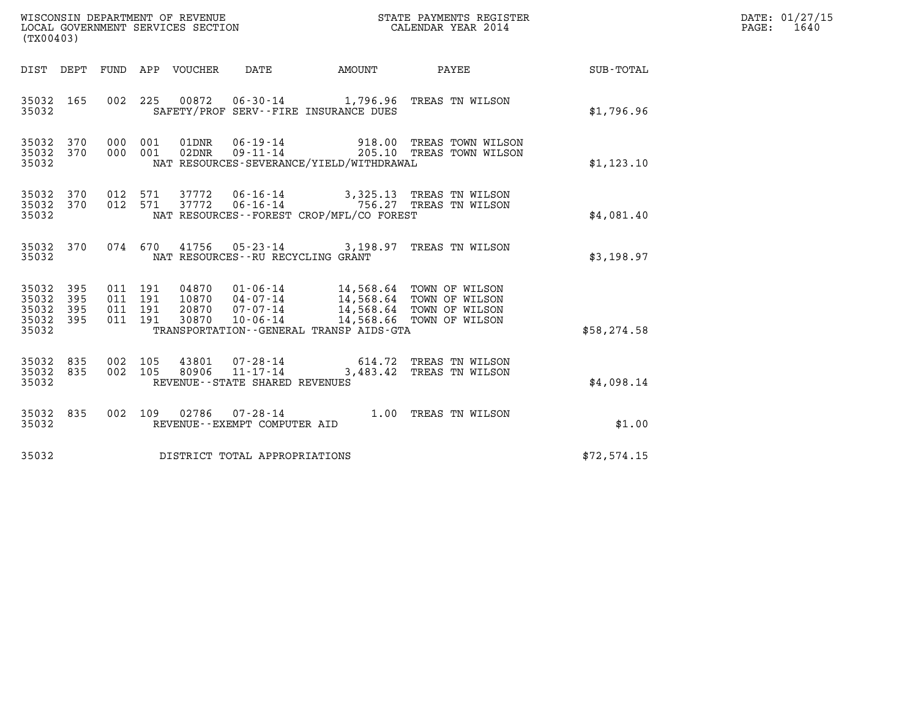| (TX00403)                                     |                   |                                          |         | WISCONSIN DEPARTMENT OF REVENUE<br>LOCAL GOVERNMENT SERVICES SECTION |                                                     |                                                                                                                                     | STATE PAYMENTS REGISTER<br>CALENDAR YEAR 2014                                                    |              | DATE: 01/27/15<br>PAGE: 1640 |
|-----------------------------------------------|-------------------|------------------------------------------|---------|----------------------------------------------------------------------|-----------------------------------------------------|-------------------------------------------------------------------------------------------------------------------------------------|--------------------------------------------------------------------------------------------------|--------------|------------------------------|
|                                               |                   |                                          |         | DIST DEPT FUND APP VOUCHER DATE                                      |                                                     | <b>AMOUNT</b>                                                                                                                       | PAYEE                                                                                            | SUB-TOTAL    |                              |
| 35032 165<br>35032                            |                   |                                          |         |                                                                      |                                                     | SAFETY/PROF SERV--FIRE INSURANCE DUES                                                                                               | 002 225 00872 06-30-14 1,796.96 TREAS TN WILSON                                                  | \$1,796.96   |                              |
| 35032 370<br>35032 370<br>35032               |                   | 000 001<br>000 001                       |         | 01DNR<br>02DNR                                                       | $06 - 19 - 14$<br>$09 - 11 - 14$                    | NAT RESOURCES-SEVERANCE/YIELD/WITHDRAWAL                                                                                            | 918.00 TREAS TOWN WILSON<br>205.10 TREAS TOWN WILSON                                             | \$1, 123.10  |                              |
| 35032 370<br>35032 370<br>35032               |                   | 012 571                                  | 012 571 |                                                                      |                                                     | NAT RESOURCES - - FOREST CROP/MFL/CO FOREST                                                                                         | 37772   06-16-14   3,325.13   TREAS   TN WILSON<br>37772   06-16-14   756.27   TREAS   TN WILSON | \$4.081.40   |                              |
| 35032 370<br>35032                            |                   |                                          | 074 670 |                                                                      | NAT RESOURCES - - RU RECYCLING GRANT                |                                                                                                                                     | 41756  05-23-14  3,198.97  TREAS TN WILSON                                                       | \$3,198.97   |                              |
| 35032 395<br>35032<br>35032<br>35032<br>35032 | 395<br>395<br>395 | 011 191<br>011 191<br>011 191<br>011 191 |         | 20870<br>30870                                                       | 07-07-14<br>$10 - 06 - 14$                          | 04870  01-06-14  14,568.64  TOWN OF WILSON<br>10870  04-07-14  14,568.64  TOWN OF WILSON<br>TRANSPORTATION--GENERAL TRANSP AIDS-GTA | 14,568.64 TOWN OF WILSON<br>14,568.66 TOWN OF WILSON                                             | \$58, 274.58 |                              |
| 35032<br>35032 835<br>35032                   | 835               | 002<br>002 105                           | 105     | 43801<br>80906                                                       | $11 - 17 - 14$<br>REVENUE - - STATE SHARED REVENUES |                                                                                                                                     | 07-28-14 614.72 TREAS TN WILSON<br>3,483.42 TREAS TN WILSON                                      | \$4,098.14   |                              |
| 35032 835<br>35032                            |                   | 002 109                                  |         |                                                                      | REVENUE--EXEMPT COMPUTER AID                        |                                                                                                                                     | 02786  07-28-14  1.00 TREAS TN WILSON                                                            | \$1.00       |                              |
| 35032                                         |                   |                                          |         |                                                                      | DISTRICT TOTAL APPROPRIATIONS                       |                                                                                                                                     |                                                                                                  | \$72,574.15  |                              |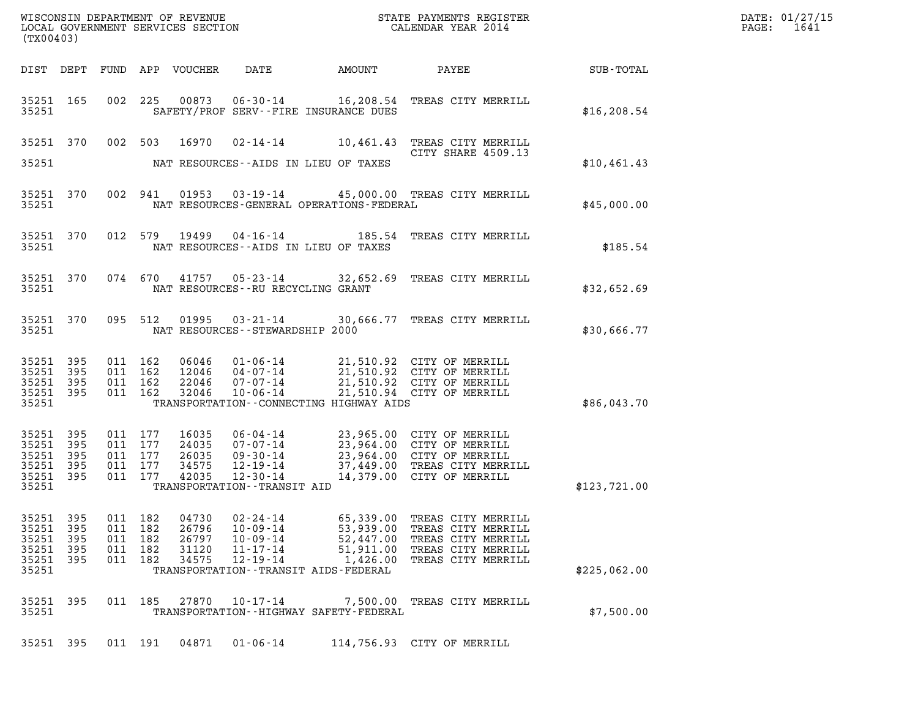| (TX00403)                                                  |                            |                                                     |     |                                           |                                                                                        |                                                                                                           |                                                                                                                                                                                                 |              | DATE: 01/27/15<br>$\mathtt{PAGE:}$<br>1641 |
|------------------------------------------------------------|----------------------------|-----------------------------------------------------|-----|-------------------------------------------|----------------------------------------------------------------------------------------|-----------------------------------------------------------------------------------------------------------|-------------------------------------------------------------------------------------------------------------------------------------------------------------------------------------------------|--------------|--------------------------------------------|
|                                                            |                            |                                                     |     |                                           |                                                                                        |                                                                                                           |                                                                                                                                                                                                 |              |                                            |
| 35251 165<br>35251                                         |                            |                                                     |     |                                           |                                                                                        | SAFETY/PROF SERV--FIRE INSURANCE DUES                                                                     | 002 225 00873 06-30-14 16,208.54 TREAS CITY MERRILL                                                                                                                                             | \$16, 208.54 |                                            |
| 35251                                                      |                            |                                                     |     |                                           |                                                                                        | NAT RESOURCES--AIDS IN LIEU OF TAXES                                                                      | 35251 370 002 503 16970 02-14-14 10,461.43 TREAS CITY MERRILL<br>CITY SHARE 4509.13                                                                                                             | \$10,461.43  |                                            |
| 35251 370<br>35251                                         |                            |                                                     |     |                                           |                                                                                        | NAT RESOURCES-GENERAL OPERATIONS-FEDERAL                                                                  | 002 941 01953 03-19-14 45,000.00 TREAS CITY MERRILL                                                                                                                                             | \$45,000.00  |                                            |
| 35251 370<br>35251                                         |                            |                                                     |     |                                           |                                                                                        | NAT RESOURCES--AIDS IN LIEU OF TAXES                                                                      | 012 579 19499 04-16-14 185.54 TREAS CITY MERRILL                                                                                                                                                | \$185.54     |                                            |
| 35251 370<br>35251                                         |                            |                                                     |     |                                           | NAT RESOURCES--RU RECYCLING GRANT                                                      |                                                                                                           | 074 670 41757 05-23-14 32,652.69 TREAS CITY MERRILL                                                                                                                                             | \$32,652.69  |                                            |
| 35251                                                      |                            |                                                     |     |                                           | NAT RESOURCES -- STEWARDSHIP 2000                                                      |                                                                                                           | 35251 370 095 512 01995 03-21-14 30,666.77 TREAS CITY MERRILL                                                                                                                                   | \$30,666.77  |                                            |
| 35251 395<br>35251 395<br>35251 395<br>35251 395<br>35251  |                            | 011 162<br>011 162<br>011 162<br>011 162            |     | 32046                                     |                                                                                        | TRANSPORTATION--CONNECTING HIGHWAY AIDS                                                                   | 06046 01-06-14 21,510.92 CITY OF MERRILL<br>12046 04-07-14 21,510.92 CITY OF MERRILL<br>22046 07-07-14 21,510.92 CITY OF MERRILL<br>10-06-14 21,510.94 CITY OF MERRILL                          | \$86,043.70  |                                            |
| 35251 395<br>35251<br>35251<br>35251<br>35251 395<br>35251 | 395<br>395<br>395          | 011 177<br>011 177<br>011 177<br>011 177<br>011 177 |     | 16035<br>24035<br>26035<br>34575<br>42035 | TRANSPORTATION - - TRANSIT AID                                                         |                                                                                                           | 06-04-14<br>07-07-14<br>09-30-14<br>12-19-14<br>12-30-14<br>12-30-14<br>09-30-14<br>14,379.00 CITY OF MERRILL<br>09-30-14<br>14,379.00 CITY OF MERRILL<br>12-30-14<br>14,379.00 CITY OF MERRILL | \$123,721.00 |                                            |
| 35251 395<br>35251<br>35251<br>35251<br>35251<br>35251     | 395<br>395<br>395<br>- 395 | 011 182<br>011<br>011 182<br>011 182<br>011 182     | 182 | 04730<br>26796<br>26797<br>31120<br>34575 | $02 - 24 - 14$<br>$10 - 09 - 14$<br>$10 - 09 - 14$<br>$11 - 17 - 14$<br>$12 - 19 - 14$ | 65,339.00<br>53,939.00<br>52,447.00<br>51,911.00<br>1,426.00<br>TRANSPORTATION - - TRANSIT AIDS - FEDERAL | TREAS CITY MERRILL<br>TREAS CITY MERRILL<br>TREAS CITY MERRILL<br>TREAS CITY MERRILL<br>TREAS CITY MERRILL                                                                                      | \$225,062.00 |                                            |
| 35251 395<br>35251                                         |                            | 011 185                                             |     | 27870                                     | $10 - 17 - 14$                                                                         | TRANSPORTATION - - HIGHWAY SAFETY - FEDERAL                                                               | 7,500.00 TREAS CITY MERRILL                                                                                                                                                                     | \$7,500.00   |                                            |
| 35251 395                                                  |                            | 011 191                                             |     | 04871                                     | $01 - 06 - 14$                                                                         |                                                                                                           | 114,756.93 CITY OF MERRILL                                                                                                                                                                      |              |                                            |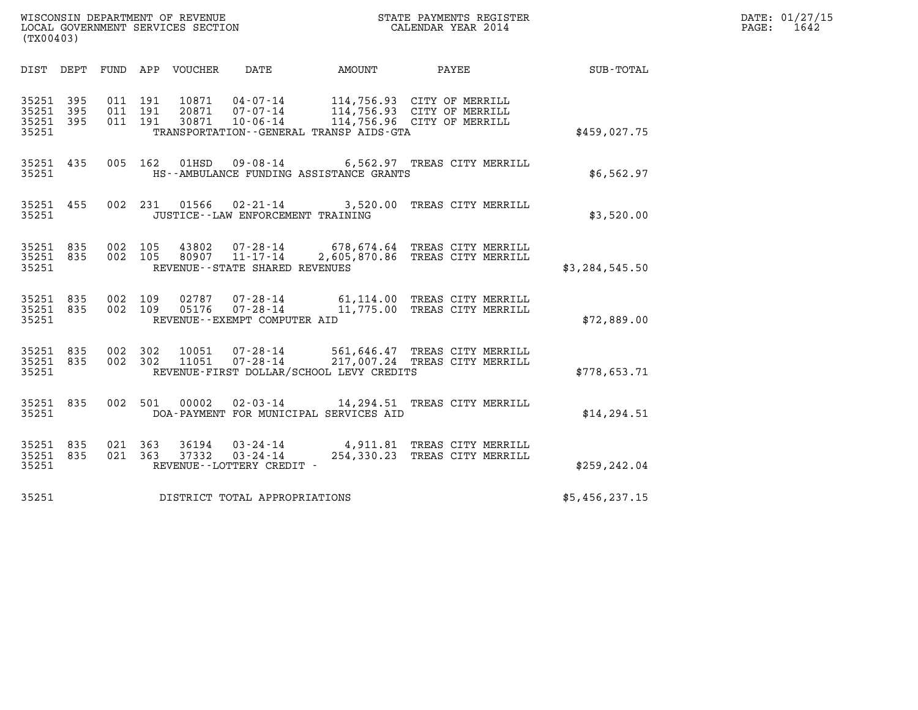| (TX00403)                                |           |                    |                    |                                 |                                                                |                                          |                                                                                                  |                  | DATE: 01/27/15<br>$\mathtt{PAGE:}$<br>1642 |
|------------------------------------------|-----------|--------------------|--------------------|---------------------------------|----------------------------------------------------------------|------------------------------------------|--------------------------------------------------------------------------------------------------|------------------|--------------------------------------------|
|                                          |           |                    |                    | DIST DEPT FUND APP VOUCHER DATE |                                                                | AMOUNT                                   | PAYEE                                                                                            | SUB-TOTAL        |                                            |
| 35251 395<br>35251<br>35251 395<br>35251 | 395       | 011 191<br>011 191 | 011 191            |                                 |                                                                | TRANSPORTATION--GENERAL TRANSP AIDS-GTA  | 114,756.93 CITY OF MERRILL<br>114,756.93 CITY OF MERRILL<br>114,756.96 CITY OF MERRILL           | \$459,027.75     |                                            |
| 35251 435<br>35251                       |           |                    | 005 162            | 01HSD                           |                                                                | HS--AMBULANCE FUNDING ASSISTANCE GRANTS  | 09-08-14 6,562.97 TREAS CITY MERRILL                                                             | \$6,562.97       |                                            |
| 35251 455<br>35251                       |           |                    |                    |                                 | 002 231 01566 02-21-14<br>JUSTICE - - LAW ENFORCEMENT TRAINING |                                          | 3,520.00 TREAS CITY MERRILL                                                                      | \$3,520.00       |                                            |
| 35251 835<br>35251 835<br>35251          |           |                    | 002 105            | 43802                           | 002 105 80907 11-17-14<br>REVENUE - - STATE SHARED REVENUES    |                                          | 07-28-14 678,674.64 TREAS CITY MERRILL<br>2,605,870.86 TREAS CITY MERRILL                        | \$3, 284, 545.50 |                                            |
| 35251 835<br>35251                       | 35251 835 |                    | 002 109<br>002 109 |                                 | REVENUE--EXEMPT COMPUTER AID                                   |                                          | 02787  07-28-14  61,114.00  TREAS CITY MERRILL<br>05176  07-28-14   11,775.00 TREAS CITY MERRILL | \$72,889.00      |                                            |
| 35251 835<br>35251 835<br>35251          |           |                    | 002 302<br>002 302 | 10051<br>11051                  |                                                                | REVENUE-FIRST DOLLAR/SCHOOL LEVY CREDITS | 07-28-14 561,646.47 TREAS CITY MERRILL<br>07-28-14 217,007.24 TREAS CITY MERRILL                 | \$778,653.71     |                                            |
| 35251 835<br>35251                       |           |                    | 002 501            | 00002                           |                                                                | DOA-PAYMENT FOR MUNICIPAL SERVICES AID   | 02-03-14 14, 294.51 TREAS CITY MERRILL                                                           | \$14, 294.51     |                                            |
| 35251 835<br>35251 835<br>35251          |           |                    | 021 363<br>021 363 | 36194<br>37332                  | $03 - 24 - 14$<br>REVENUE--LOTTERY CREDIT -                    |                                          | 03-24-14 4,911.81 TREAS CITY MERRILL<br>254,330.23 TREAS CITY MERRILL                            | \$259,242.04     |                                            |
| 35251                                    |           |                    |                    |                                 | DISTRICT TOTAL APPROPRIATIONS                                  |                                          |                                                                                                  | \$5,456,237.15   |                                            |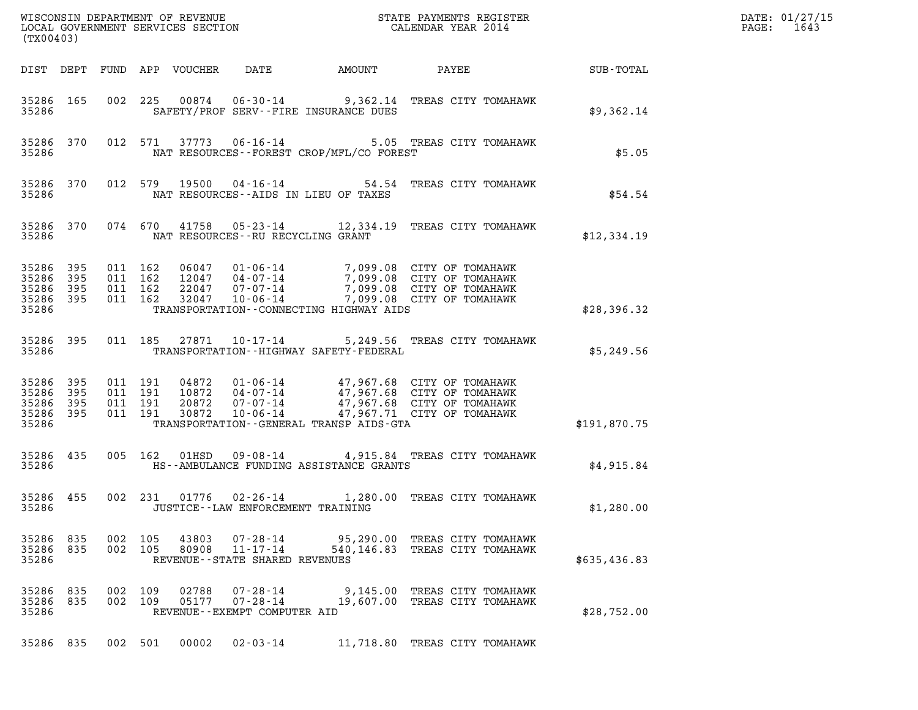| (TX00403)                                     |                   |                               |         |                  |                                                                       |                                             |                                                                                                                                                                            |                  | DATE: 01/27/15<br>$\mathtt{PAGE}$ :<br>1643 |
|-----------------------------------------------|-------------------|-------------------------------|---------|------------------|-----------------------------------------------------------------------|---------------------------------------------|----------------------------------------------------------------------------------------------------------------------------------------------------------------------------|------------------|---------------------------------------------|
| DIST DEPT                                     |                   |                               |         | FUND APP VOUCHER | DATE                                                                  | AMOUNT                                      | PAYEE                                                                                                                                                                      | <b>SUB-TOTAL</b> |                                             |
| 35286 165<br>35286                            |                   | 002 225                       |         | 00874            |                                                                       | SAFETY/PROF SERV--FIRE INSURANCE DUES       | 06-30-14 9,362.14 TREAS CITY TOMAHAWK                                                                                                                                      | \$9,362.14       |                                             |
| 35286 370<br>35286                            |                   |                               | 012 571 |                  |                                                                       | NAT RESOURCES - - FOREST CROP/MFL/CO FOREST | 37773  06-16-14  5.05  TREAS CITY TOMAHAWK                                                                                                                                 | \$5.05           |                                             |
| 35286 370<br>35286                            |                   |                               |         | 012 579 19500    |                                                                       | NAT RESOURCES - AIDS IN LIEU OF TAXES       | 04-16-14 54.54 TREAS CITY TOMAHAWK                                                                                                                                         | \$54.54          |                                             |
| 35286 370<br>35286                            |                   |                               |         |                  | NAT RESOURCES--RU RECYCLING GRANT                                     |                                             | 074 670 41758 05-23-14 12,334.19 TREAS CITY TOMAHAWK                                                                                                                       | \$12,334.19      |                                             |
| 35286<br>35286<br>35286<br>35286 395<br>35286 | 395<br>395<br>395 | 011 162<br>011 162<br>011 162 | 011 162 | 32047            | 22047 07-07-14<br>$10 - 06 - 14$                                      | TRANSPORTATION -- CONNECTING HIGHWAY AIDS   | 06047  01-06-14  7,099.08  CITY OF TOMAHAWK<br>12047 04-07-14<br>12047 04-07-14 7,099.08 CITY OF TOMAHAWK<br>7,099.08 CITY OF TOMAHAWK<br>7,099.08 CITY OF TOMAHAWK        | \$28,396.32      |                                             |
| 35286 395<br>35286                            |                   |                               | 011 185 |                  |                                                                       | TRANSPORTATION - - HIGHWAY SAFETY - FEDERAL | 27871  10-17-14  5,249.56  TREAS CITY TOMAHAWK                                                                                                                             | \$5,249.56       |                                             |
| 35286<br>35286<br>35286<br>35286 395<br>35286 | 395<br>395<br>395 | 011 191<br>011 191<br>011 191 | 011 191 | 20872<br>30872   |                                                                       | TRANSPORTATION--GENERAL TRANSP AIDS-GTA     | 04872  01-06-14  47,967.68  CITY OF TOMAHAWK<br>10872  04-07-14  47,967.68  CITY OF TOMAHAWK<br>07-07-14 47,967.68 CITY OF TOMAHAWK<br>10-06-14 47,967.71 CITY OF TOMAHAWK | \$191,870.75     |                                             |
| 35286 435<br>35286                            |                   | 005 162                       |         | 01HSD            |                                                                       | HS--AMBULANCE FUNDING ASSISTANCE GRANTS     | 09-08-14 4,915.84 TREAS CITY TOMAHAWK                                                                                                                                      | \$4,915.84       |                                             |
| 35286 455<br>35286                            |                   |                               | 002 231 | 01776            | 02-26-14<br>JUSTICE - - LAW ENFORCEMENT TRAINING                      |                                             | 1,280.00 TREAS CITY TOMAHAWK                                                                                                                                               | \$1,280.00       |                                             |
| 35286 835<br>35286 835<br>35286               |                   | 002 105<br>002 105            |         |                  | 43803 07-28-14<br>80908 11-17-14<br>REVENUE - - STATE SHARED REVENUES |                                             | 95,290.00 TREAS CITY TOMAHAWK<br>540,146.83 TREAS CITY TOMAHAWK                                                                                                            | \$635,436.83     |                                             |
| 35286 835<br>35286 835<br>35286               |                   | 002 109<br>002 109            |         | 02788<br>05177   | $07 - 28 - 14$<br>$07 - 28 - 14$<br>REVENUE--EXEMPT COMPUTER AID      |                                             | 9,145.00 TREAS CITY TOMAHAWK<br>19,607.00 TREAS CITY TOMAHAWK                                                                                                              | \$28,752.00      |                                             |
| 35286 835                                     |                   | 002 501                       |         | 00002            | $02 - 03 - 14$                                                        |                                             | 11,718.80 TREAS CITY TOMAHAWK                                                                                                                                              |                  |                                             |